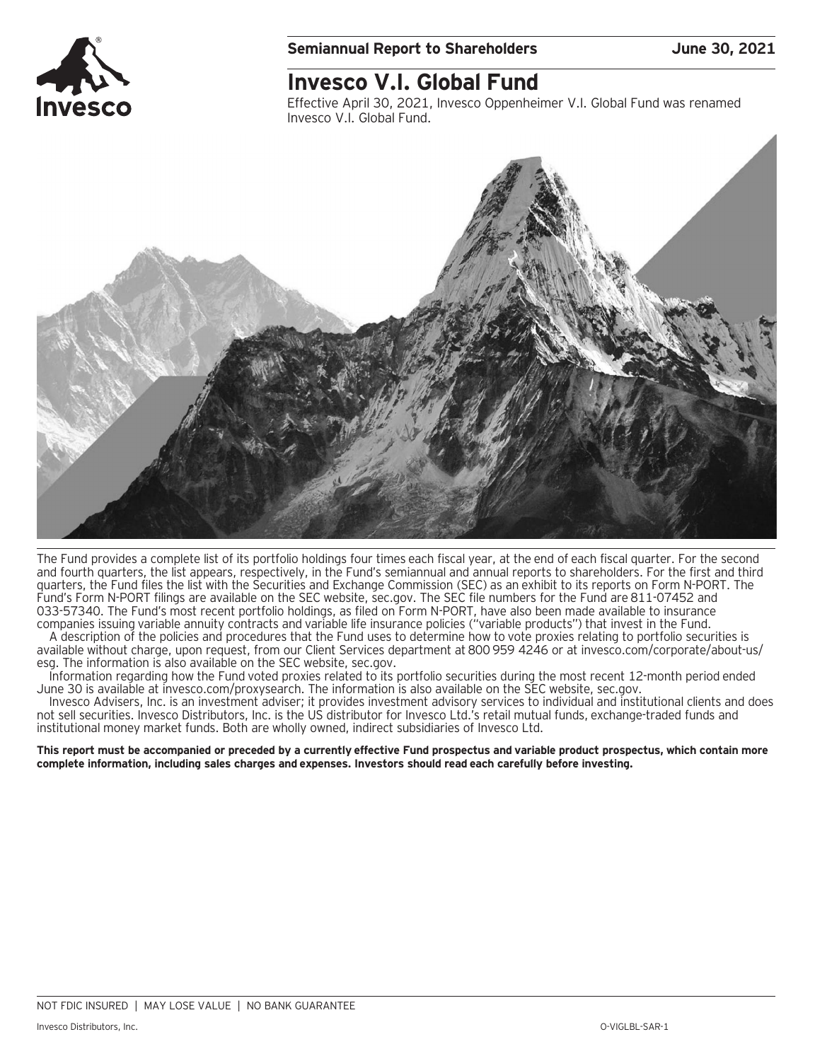

### **Semiannual Report to Shareholders June 30, 2021**

### **Invesco V.I. Global Fund**

Effective April 30, 2021, Invesco Oppenheimer V.I. Global Fund was renamed Invesco V.I. Global Fund.



The Fund provides a complete list of its portfolio holdings four times each fiscal year, at the end of each fiscal quarter. For the second and fourth quarters, the list appears, respectively, in the Fund's semiannual and annual reports to shareholders. For the first and third quarters, the Fund files the list with the Securities and Exchange Commission (SEC) as an exhibit to its reports on Form N-PORT. The Fund's Form N-PORT filings are available on the SEC website, sec.gov. The SEC file numbers for the Fund are 811-07452 and 033-57340. The Fund's most recent portfolio holdings, as filed on Form N-PORT, have also been made available to insurance companies issuing variable annuity contracts and variable life insurance policies ("variable products") that invest in the Fund.

A description of the policies and procedures that the Fund uses to determine how to vote proxies relating to portfolio securities is available without charge, upon request, from our Client Services department at 800 959 4246 or at invesco.com/corporate/about-us/ esg. The information is also available on the SEC website, sec.gov.

Information regarding how the Fund voted proxies related to its portfolio securities during the most recent 12-month period ended June 30 is available at invesco.com/proxysearch. The information is also available on the SEC website, sec.gov.

Invesco Advisers, Inc. is an investment adviser; it provides investment advisory services to individual and institutional clients and does not sell securities. Invesco Distributors, Inc. is the US distributor for Invesco Ltd.'s retail mutual funds, exchange-traded funds and institutional money market funds. Both are wholly owned, indirect subsidiaries of Invesco Ltd.

**This report must be accompanied or preceded by a currently effective Fund prospectus and variable product prospectus, which contain more complete information, including sales charges and expenses. Investors should read each carefully before investing.**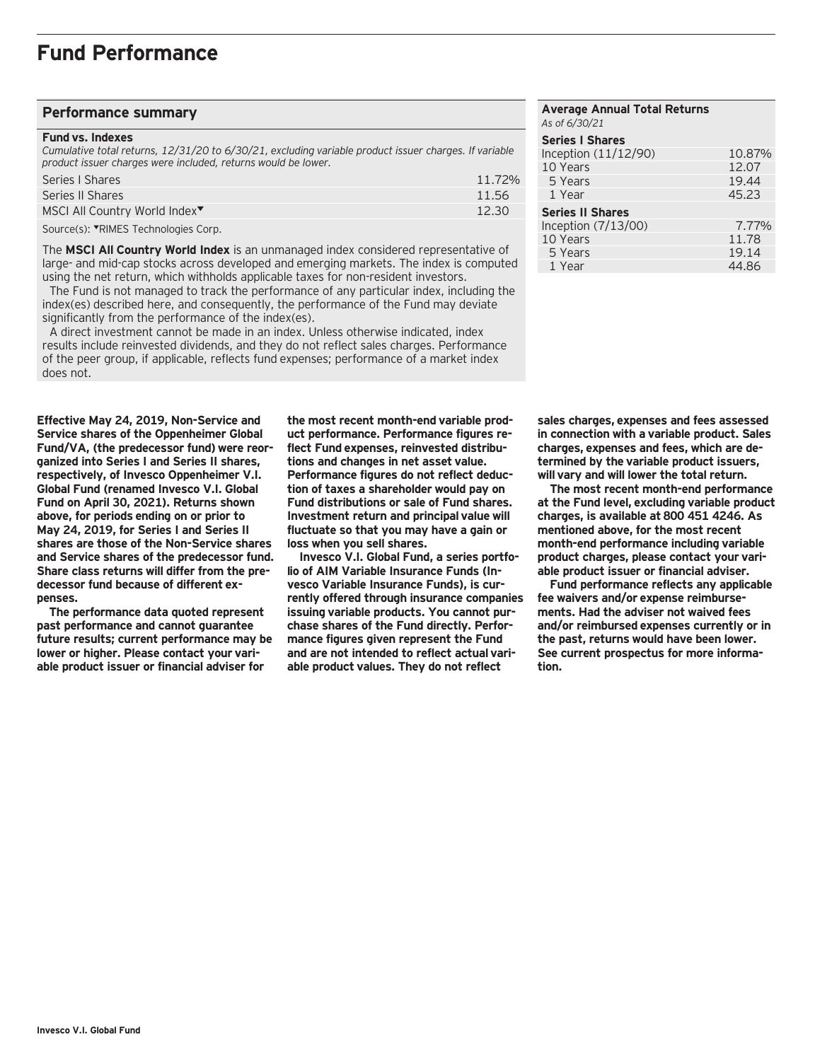#### **Performance summary**

#### **Fund vs. Indexes**

*Cumulative total returns, 12/31/20 to 6/30/21, excluding variable product issuer charges. If variable product issuer charges were included, returns would be lower.*

| Series I Shares                           | 11.72% |
|-------------------------------------------|--------|
| Series II Shares                          | 11.56  |
| MSCI All Country World Index <sup>▼</sup> | 12.30  |
|                                           |        |

Source(s): VRIMES Technologies Corp.

The **MSCI All Country World Index** is an unmanaged index considered representative of large- and mid-cap stocks across developed and emerging markets. The index is computed using the net return, which withholds applicable taxes for non-resident investors.

 The Fund is not managed to track the performance of any particular index, including the index(es) described here, and consequently, the performance of the Fund may deviate significantly from the performance of the index(es).

 A direct investment cannot be made in an index. Unless otherwise indicated, index results include reinvested dividends, and they do not reflect sales charges. Performance of the peer group, if applicable, reflects fund expenses; performance of a market index does not.

**Effective May 24, 2019, Non-Service and Service shares of the Oppenheimer Global Fund/VA, (the predecessor fund) were reorganized into Series I and Series II shares, respectively, of Invesco Oppenheimer V.I. Global Fund (renamed Invesco V.I. Global Fund on April 30, 2021). Returns shown above, for periods ending on or prior to May 24, 2019, for Series I and Series II shares are those of the Non-Service shares and Service shares of the predecessor fund. Share class returns will differ from the predecessor fund because of different expenses.**

**The performance data quoted represent past performance and cannot guarantee future results; current performance may be lower or higher. Please contact your variable product issuer or financial adviser for**

**the most recent month-end variable product performance. Performance figures reflect Fund expenses, reinvested distributions and changes in net asset value. Performance figures do not reflect deduction of taxes a shareholder would pay on Fund distributions or sale of Fund shares. Investment return and principal value will fluctuate so that you may have a gain or loss when you sell shares.**

**Invesco V.I. Global Fund, a series portfolio of AIM Variable Insurance Funds (Invesco Variable Insurance Funds), is currently offered through insurance companies issuing variable products. You cannot purchase shares of the Fund directly. Performance figures given represent the Fund and are not intended to reflect actual variable product values. They do not reflect**

| <b>Average Annual Total Returns</b><br>As of 6/30/21 |        |
|------------------------------------------------------|--------|
| <b>Series I Shares</b>                               |        |
| Inception (11/12/90)                                 | 10.87% |
| 10 Years                                             | 12.07  |
| 5 Years                                              | 19.44  |
| 1 Year                                               | 45.23  |
| <b>Series II Shares</b>                              |        |
| Inception (7/13/00)                                  | 7.77%  |
| 10 Years                                             | 11.78  |
| 5 Years                                              | 19.14  |
| 1 Year                                               | 44.86  |

**sales charges, expenses and fees assessed in connection with a variable product. Sales charges, expenses and fees, which are determined by the variable product issuers, will vary and will lower the total return.**

**The most recent month-end performance at the Fund level, excluding variable product charges, is available at 800 451 4246. As mentioned above, for the most recent month-end performance including variable product charges, please contact your variable product issuer or financial adviser.**

**Fund performance reflects any applicable fee waivers and/or expense reimbursements. Had the adviser not waived fees and/or reimbursed expenses currently or in the past, returns would have been lower. See current prospectus for more information.**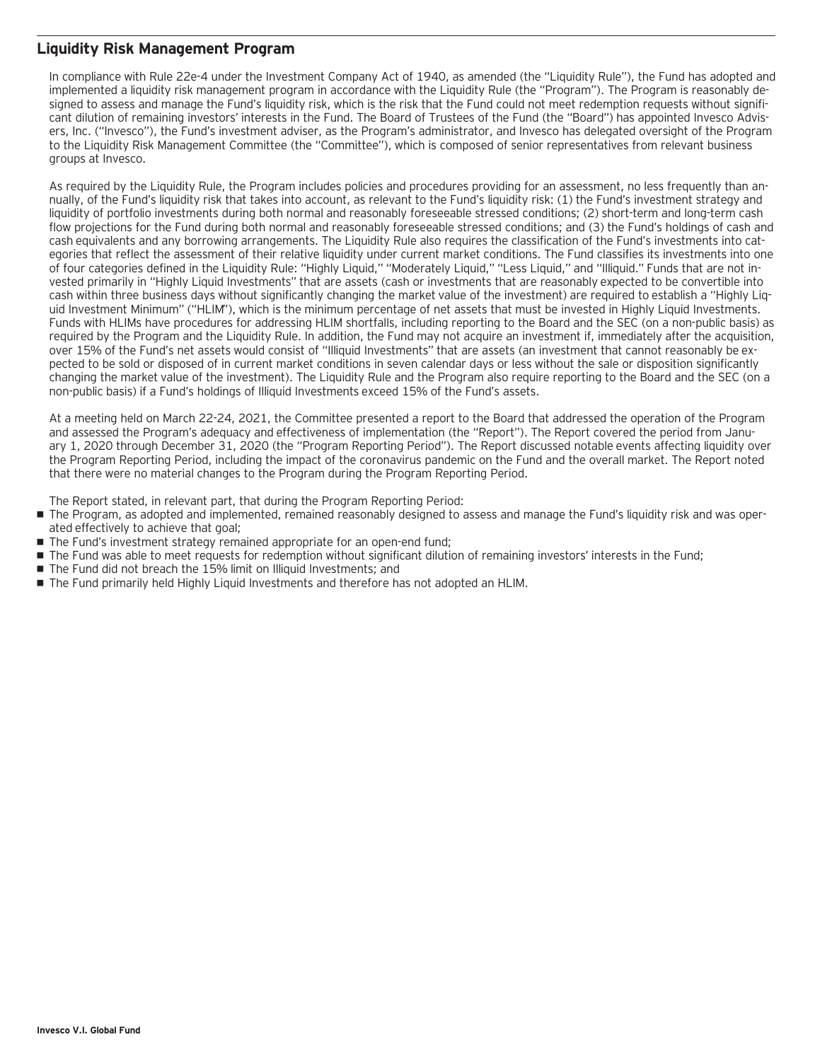### **Liquidity Risk Management Program**

In compliance with Rule 22e-4 under the Investment Company Act of 1940, as amended (the "Liquidity Rule"), the Fund has adopted and implemented a liquidity risk management program in accordance with the Liquidity Rule (the "Program"). The Program is reasonably designed to assess and manage the Fund's liquidity risk, which is the risk that the Fund could not meet redemption requests without significant dilution of remaining investors' interests in the Fund. The Board of Trustees of the Fund (the "Board") has appointed Invesco Advisers, Inc. ("Invesco"), the Fund's investment adviser, as the Program's administrator, and Invesco has delegated oversight of the Program to the Liquidity Risk Management Committee (the "Committee"), which is composed of senior representatives from relevant business groups at Invesco.

As required by the Liquidity Rule, the Program includes policies and procedures providing for an assessment, no less frequently than annually, of the Fund's liquidity risk that takes into account, as relevant to the Fund's liquidity risk: (1) the Fund's investment strategy and liquidity of portfolio investments during both normal and reasonably foreseeable stressed conditions; (2) short-term and long-term cash flow projections for the Fund during both normal and reasonably foreseeable stressed conditions; and (3) the Fund's holdings of cash and cash equivalents and any borrowing arrangements. The Liquidity Rule also requires the classification of the Fund's investments into categories that reflect the assessment of their relative liquidity under current market conditions. The Fund classifies its investments into one of four categories defined in the Liquidity Rule: "Highly Liquid," "Moderately Liquid," "Less Liquid," and "Illiquid." Funds that are not invested primarily in "Highly Liquid Investments" that are assets (cash or investments that are reasonably expected to be convertible into cash within three business days without significantly changing the market value of the investment) are required to establish a "Highly Liquid Investment Minimum" ("HLIM"), which is the minimum percentage of net assets that must be invested in Highly Liquid Investments. Funds with HLIMs have procedures for addressing HLIM shortfalls, including reporting to the Board and the SEC (on a non-public basis) as required by the Program and the Liquidity Rule. In addition, the Fund may not acquire an investment if, immediately after the acquisition, over 15% of the Fund's net assets would consist of "Illiquid Investments" that are assets (an investment that cannot reasonably be expected to be sold or disposed of in current market conditions in seven calendar days or less without the sale or disposition significantly changing the market value of the investment). The Liquidity Rule and the Program also require reporting to the Board and the SEC (on a non-public basis) if a Fund's holdings of Illiquid Investments exceed 15% of the Fund's assets.

At a meeting held on March 22-24, 2021, the Committee presented a report to the Board that addressed the operation of the Program and assessed the Program's adequacy and effectiveness of implementation (the "Report"). The Report covered the period from January 1, 2020 through December 31, 2020 (the "Program Reporting Period"). The Report discussed notable events affecting liquidity over the Program Reporting Period, including the impact of the coronavirus pandemic on the Fund and the overall market. The Report noted that there were no material changes to the Program during the Program Reporting Period.

The Report stated, in relevant part, that during the Program Reporting Period:

- The Program, as adopted and implemented, remained reasonably designed to assess and manage the Fund's liquidity risk and was operated effectively to achieve that goal;
- The Fund's investment strategy remained appropriate for an open-end fund;
- The Fund was able to meet requests for redemption without significant dilution of remaining investors' interests in the Fund;
- The Fund did not breach the 15% limit on Illiquid Investments; and
- The Fund primarily held Highly Liquid Investments and therefore has not adopted an HLIM.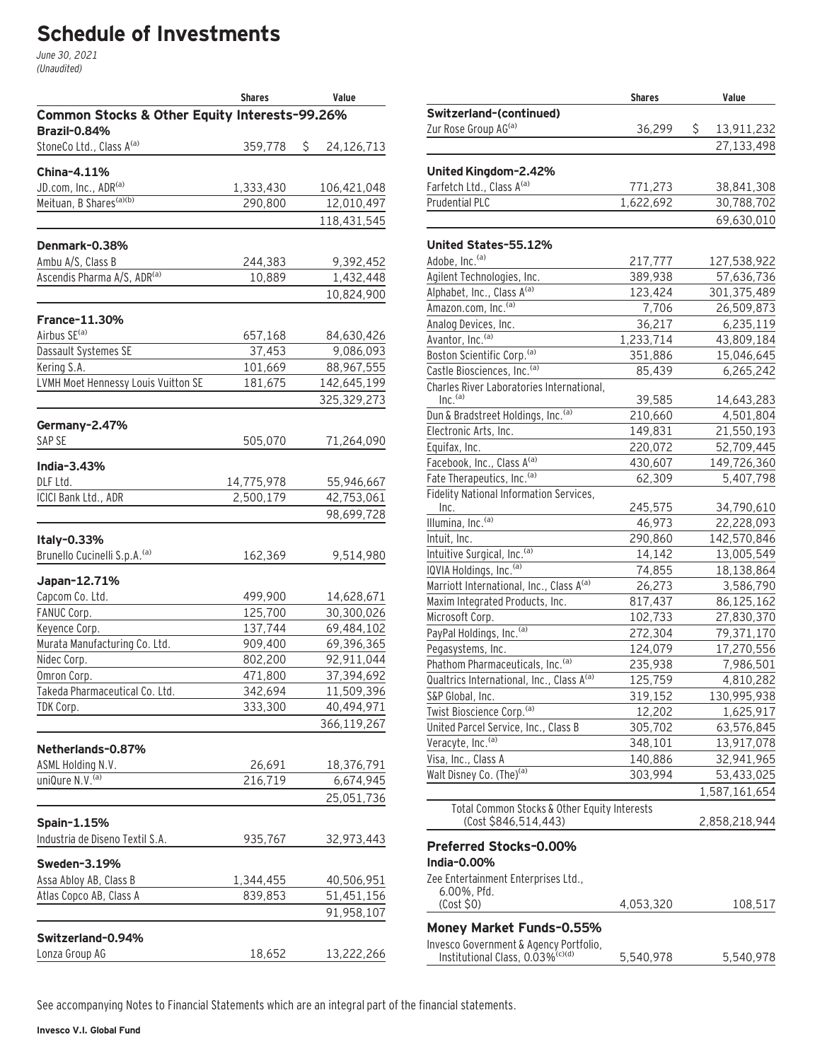# **Schedule of Investments**

June 30, 2021 (Unaudited)

|                                               | <b>Shares</b> | Value            |
|-----------------------------------------------|---------------|------------------|
| Common Stocks & Other Equity Interests-99.26% |               |                  |
| <b>Brazil-0.84%</b>                           |               |                  |
| StoneCo Ltd., Class A <sup>(a)</sup>          | 359,778       | \$<br>24,126,713 |
| <b>China-4.11%</b>                            |               |                  |
| JD.com, Inc., ADR <sup>(a)</sup>              | 1,333,430     | 106,421,048      |
| Meituan, B Shares <sup>(a)(b)</sup>           | 290,800       | 12,010,497       |
|                                               |               | 118,431,545      |
|                                               |               |                  |
| Denmark-0.38%<br>Ambu A/S, Class B            |               |                  |
| Ascendis Pharma A/S, ADR <sup>(a)</sup>       | 244,383       | 9,392,452        |
|                                               | 10,889        | 1,432,448        |
|                                               |               | 10,824,900       |
| <b>France-11.30%</b>                          |               |                  |
| Airbus SE <sup>(a)</sup>                      | 657,168       | 84,630,426       |
| Dassault Systemes SE                          | 37,453        | 9,086,093        |
| Kering S.A.                                   | 101,669       | 88,967,555       |
| LVMH Moet Hennessy Louis Vuitton SE           | 181,675       | 142,645,199      |
|                                               |               | 325,329,273      |
|                                               |               |                  |
| Germany-2.47%<br>SAP SE                       |               |                  |
|                                               | 505,070       | 71,264,090       |
| India-3.43%                                   |               |                  |
| DLF Ltd.                                      | 14,775,978    | 55,946,667       |
| ICICI Bank Ltd., ADR                          | 2,500,179     | 42,753,061       |
|                                               |               | 98,699,728       |
| Italy-0.33%                                   |               |                  |
| Brunello Cucinelli S.p.A. <sup>(a)</sup>      | 162,369       | 9,514,980        |
|                                               |               |                  |
| Japan-12.71%<br>Capcom Co. Ltd.               | 499,900       | 14,628,671       |
| FANUC Corp.                                   | 125,700       | 30,300,026       |
| Keyence Corp.                                 | 137,744       | 69,484,102       |
| Murata Manufacturing Co. Ltd.                 | 909,400       | 69,396,365       |
| Nidec Corp.                                   | 802,200       | 92,911,044       |
| Omron Corp.                                   | 471,800       | 37,394,692       |
| Takeda Pharmaceutical Co. Ltd.                | 342,694       | 11,509,396       |
| TDK Corp.                                     | 333,300       | 40,494,971       |
|                                               |               | 366,119,267      |
|                                               |               |                  |
| Netherlands-0.87%                             |               |                  |
| ASML Holding N.V.                             | 26,691        | 18,376,791       |
| uniQure N.V. <sup>(a)</sup>                   | 216,719       | 6,674,945        |
|                                               |               | 25,051,736       |
| Spain-1.15%                                   |               |                  |
| Industria de Diseno Textil S.A.               |               |                  |
|                                               | 935,767       | 32,973,443       |
| Sweden-3.19%                                  |               |                  |
| Assa Abloy AB, Class B                        | 1,344,455     | 40,506,951       |
| Atlas Copco AB, Class A                       | 839,853       | 51,451,156       |
|                                               |               | 91,958,107       |
| Switzerland-0.94%                             |               |                  |
| Lonza Group AG                                | 18,652        | 13,222,266       |
|                                               |               |                  |

|                                                                      | <b>Shares</b> | Value            |
|----------------------------------------------------------------------|---------------|------------------|
| Switzerland-(continued)                                              |               |                  |
| Zur Rose Group AG(a)                                                 | 36,299        | \$<br>13,911,232 |
|                                                                      |               | 27,133,498       |
|                                                                      |               |                  |
| United Kingdom-2.42%                                                 |               |                  |
| Farfetch Ltd., Class A <sup>(a)</sup>                                | 771,273       | 38,841,308       |
| <b>Prudential PLC</b>                                                | 1,622,692     | 30,788,702       |
|                                                                      |               | 69,630,010       |
| United States-55.12%                                                 |               |                  |
| Adobe, Inc. <sup>(a)</sup>                                           | 217,777       | 127,538,922      |
| Agilent Technologies, Inc.                                           | 389,938       | 57,636,736       |
| Alphabet, Inc., Class A(a)                                           | 123,424       | 301,375,489      |
| Amazon.com, Inc. <sup>(a)</sup>                                      | 7,706         | 26,509,873       |
| Analog Devices, Inc.                                                 | 36,217        | 6,235,119        |
| Avantor, Inc. <sup>(a)</sup>                                         | 1,233,714     | 43,809,184       |
| Boston Scientific Corp. <sup>(a)</sup>                               | 351,886       | 15,046,645       |
| Castle Biosciences, Inc. <sup>(a)</sup>                              | 85,439        | 6,265,242        |
| Charles River Laboratories International,                            |               |                  |
| Inc. <sup>(a)</sup>                                                  | 39,585        | 14,643,283       |
| Dun & Bradstreet Holdings, Inc. (a)                                  | 210,660       | 4,501,804        |
| Electronic Arts, Inc.                                                | 149,831       | 21,550,193       |
| Equifax, Inc.                                                        | 220,072       | 52,709,445       |
| Facebook, Inc., Class A(a)                                           | 430,607       | 149,726,360      |
| Fate Therapeutics, Inc. <sup>(a)</sup>                               | 62,309        | 5,407,798        |
| Fidelity National Information Services,                              |               |                  |
| Inc.                                                                 | 245,575       | 34,790,610       |
| Illumina, Inc. <sup>(a)</sup>                                        | 46,973        | 22,228,093       |
| Intuit, Inc.                                                         | 290,860       | 142,570,846      |
| Intuitive Surgical, Inc. <sup>(a)</sup>                              | 14,142        | 13,005,549       |
| IQVIA Holdings, Inc. <sup>(a)</sup>                                  | 74,855        | 18,138,864       |
| Marriott International, Inc., Class A(a)                             | 26,273        | 3,586,790        |
| Maxim Integrated Products, Inc.                                      | 817,437       | 86,125,162       |
| Microsoft Corp.                                                      | 102,733       | 27,830,370       |
| PayPal Holdings, Inc. (a)                                            | 272,304       | 79,371,170       |
| Pegasystems, Inc.                                                    | 124,079       | 17,270,556       |
| Phathom Pharmaceuticals, Inc. (a)                                    | 235,938       | 7,986,501        |
| Qualtrics International, Inc., Class A(a)                            | 125,759       | 4,810,282        |
| S&P Global, Inc.                                                     | 319,152       | 130,995,938      |
| Twist Bioscience Corp. <sup>(a)</sup>                                | 12,202        | 1,625,917        |
| United Parcel Service, Inc., Class B                                 | 305,702       | 63,576,845       |
| Veracyte, Inc. <sup>(a)</sup>                                        | 348,101       | 13,917,078       |
| Visa, Inc., Class A                                                  | 140,886       | 32,941,965       |
| Walt Disney Co. (The) <sup>(a)</sup>                                 | 303,994       | 53,433,025       |
|                                                                      |               | 1,587,161,654    |
| Total Common Stocks & Other Equity Interests<br>(Cost \$846,514,443) |               | 2,858,218,944    |
| Preferred Stocks-0.00%                                               |               |                  |
| India-0.00%                                                          |               |                  |
| Zee Entertainment Enterprises Ltd.,                                  |               |                  |
| 6.00%, Pfd.                                                          |               |                  |
| (Cost \$0)                                                           | 4,053,320     | 108,517          |
| Money Market Funds-0.55%                                             |               |                  |
| Invesco Government & Agency Portfolio,                               |               |                  |
| Institutional Class, 0.03% <sup>(c)(d)</sup>                         | 5,540,978     | 5,540,978        |

See accompanying Notes to Financial Statements which are an integral part of the financial statements.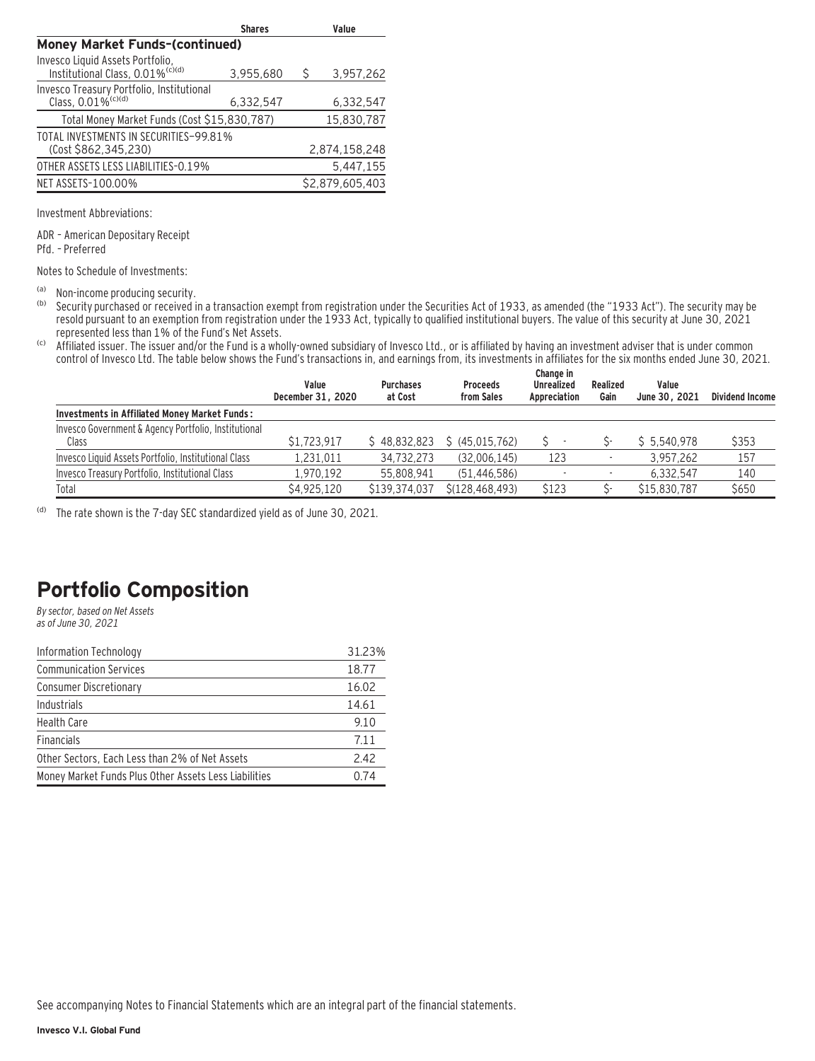|                                                                                  | <b>Shares</b> |   | Value           |  |  |
|----------------------------------------------------------------------------------|---------------|---|-----------------|--|--|
| <b>Money Market Funds-(continued)</b>                                            |               |   |                 |  |  |
| Invesco Liquid Assets Portfolio,<br>Institutional Class, 0.01% <sup>(c)(d)</sup> | 3,955,680     | Ŝ | 3,957,262       |  |  |
| Invesco Treasury Portfolio, Institutional<br>Class, $0.01\%$ <sup>(c)(d)</sup>   | 6,332,547     |   | 6,332,547       |  |  |
| Total Money Market Funds (Cost \$15,830,787)                                     |               |   | 15,830,787      |  |  |
| TOTAL INVESTMENTS IN SECURITIES-99.81%<br>(Cost \$862,345,230)                   |               |   | 2,874,158,248   |  |  |
| OTHER ASSETS LESS LIABILITIES-0.19%                                              |               |   | 5.447.155       |  |  |
| NET ASSETS-100.00%                                                               |               |   | \$2.879.605.403 |  |  |

Investment Abbreviations:

ADR – American Depositary Receipt Pfd. – Preferred

Notes to Schedule of Investments:

(a) Non-income producing security.<br>(b) Security purchased or received in

Security purchased or received in a transaction exempt from registration under the Securities Act of 1933, as amended (the "1933 Act"). The security may be resold pursuant to an exemption from registration under the 1933 Act, typically to qualified institutional buyers. The value of this security at June 30, 2021 represented less than 1% of the Fund's Net Assets.

(c) Affiliated issuer. The issuer and/or the Fund is a wholly-owned subsidiary of Invesco Ltd., or is affiliated by having an investment adviser that is under common control of Invesco Ltd. The table below shows the Fund's transactions in, and earnings from, its investments in affiliates for the six months ended June 30, 2021.

|                                                               | Value<br>December 31, 2020 | <b>Purchases</b><br>at Cost | <b>Proceeds</b><br>from Sales | Change in<br><b>Unrealized</b><br>Appreciation | Realized<br>Gain | Value<br>June 30, 2021 | <b>Dividend Income</b> |
|---------------------------------------------------------------|----------------------------|-----------------------------|-------------------------------|------------------------------------------------|------------------|------------------------|------------------------|
| Investments in Affiliated Money Market Funds:                 |                            |                             |                               |                                                |                  |                        |                        |
| Invesco Government & Agency Portfolio, Institutional<br>Class | \$1,723,917                | \$48.832.823                | \$ (45.015.762)               |                                                |                  | \$5.540.978            | \$353                  |
| Invesco Liquid Assets Portfolio, Institutional Class          | 1.231.011                  | 34,732,273                  | (32,006,145)                  | 123                                            |                  | 3.957.262              | 157                    |
| Invesco Treasury Portfolio, Institutional Class               | 1.970.192                  | 55.808.941                  | (51.446.586)                  |                                                |                  | 6.332.547              | 140                    |
| Total                                                         | \$4.925.120                | \$139,374,037               | \$(128,468,493)               | \$123                                          |                  | \$15,830,787           | \$650                  |

(d) The rate shown is the 7-day SEC standardized yield as of June 30, 2021.

### **Portfolio Composition**

By sector, based on Net Assets as of June 30, 2021

| Information Technology                                | 31.23% |
|-------------------------------------------------------|--------|
| <b>Communication Services</b>                         | 18.77  |
| <b>Consumer Discretionary</b>                         | 16.02  |
| Industrials                                           | 14.61  |
| <b>Health Care</b>                                    | 9.10   |
| <b>Financials</b>                                     | 7.11   |
| Other Sectors, Each Less than 2% of Net Assets        | 2.42   |
| Money Market Funds Plus Other Assets Less Liabilities | 0.74   |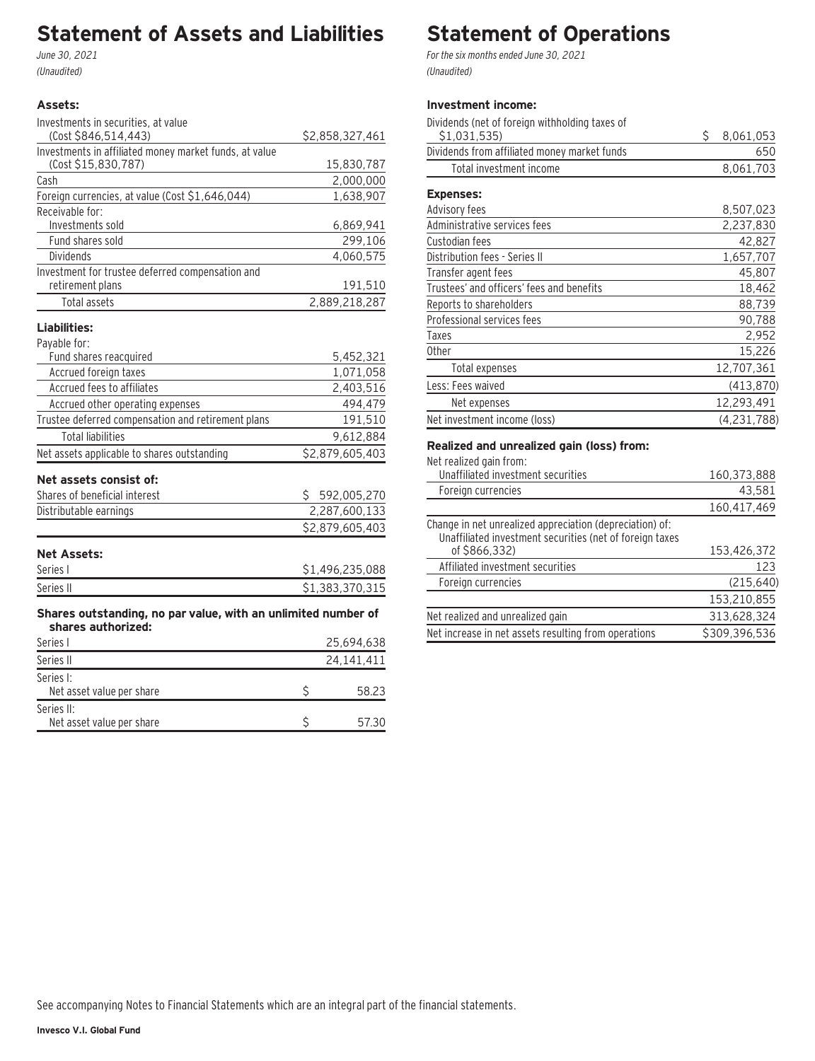# **Statement of Assets and Liabilities**

June 30, 2021 (Unaudited)

#### **Assets:**

| Investments in securities, at value                                                 |                 |
|-------------------------------------------------------------------------------------|-----------------|
| (Cost \$846,514,443)                                                                | \$2,858,327,461 |
| Investments in affiliated money market funds, at value                              |                 |
| (Cost \$15,830,787)                                                                 | 15,830,787      |
| Cash                                                                                | 2,000,000       |
| Foreign currencies, at value (Cost \$1,646,044)                                     | 1,638,907       |
| Receivable for:                                                                     |                 |
| Investments sold                                                                    | 6,869,941       |
| Fund shares sold                                                                    | 299,106         |
| <b>Dividends</b>                                                                    | 4,060,575       |
| Investment for trustee deferred compensation and                                    |                 |
| retirement plans                                                                    | 191,510         |
| <b>Total assets</b>                                                                 | 2,889,218,287   |
| Liabilities:                                                                        |                 |
| Payable for:                                                                        |                 |
| Fund shares reacquired                                                              | 5,452,321       |
| Accrued foreign taxes                                                               | 1,071,058       |
| Accrued fees to affiliates                                                          | 2,403,516       |
| Accrued other operating expenses                                                    | 494,479         |
| Trustee deferred compensation and retirement plans                                  | 191,510         |
| <b>Total liabilities</b>                                                            | 9,612,884       |
| Net assets applicable to shares outstanding                                         | \$2,879,605,403 |
| Net assets consist of:                                                              |                 |
| Shares of beneficial interest                                                       |                 |
|                                                                                     | \$592,005,270   |
| Distributable earnings                                                              | 2,287,600,133   |
|                                                                                     | \$2,879,605,403 |
| <b>Net Assets:</b>                                                                  |                 |
| Series I                                                                            | \$1,496,235,088 |
| Series II                                                                           | \$1,383,370,315 |
|                                                                                     |                 |
| Shares outstanding, no par value, with an unlimited number of<br>shares authorized: |                 |
|                                                                                     |                 |
| Series I                                                                            | 25,694,638      |
| Series II                                                                           | 24,141,411      |
| Series I:                                                                           |                 |
| Net asset value per share                                                           | \$<br>58.23     |
| Series II:                                                                          |                 |

Net asset value per share \$ 57.30

# **Statement of Operations**

For the six months ended June 30, 2021 (Unaudited)

### **Investment income:**

| Dividends (net of foreign withholding taxes of |    |             |
|------------------------------------------------|----|-------------|
| \$1,031,535)                                   | Ś. | 8,061,053   |
| Dividends from affiliated money market funds   |    | 650         |
| Total investment income                        |    | 8,061,703   |
| <b>Expenses:</b>                               |    |             |
| Advisory fees                                  |    | 8,507,023   |
| Administrative services fees                   |    | 2,237,830   |
| Custodian fees                                 |    | 42,827      |
| Distribution fees - Series II                  |    | 1,657,707   |
| Transfer agent fees                            |    | 45,807      |
| Trustees' and officers' fees and benefits      |    | 18,462      |
| Reports to shareholders                        |    | 88,739      |
| Professional services fees                     |    | 90,788      |
| Taxes                                          |    | 2,952       |
| 0ther                                          |    | 15,226      |
| Total expenses                                 |    | 12,707,361  |
| Less: Fees waived                              |    | (413, 870)  |
| Net expenses                                   |    | 12,293,491  |
| Net investment income (loss)                   |    | (4,231,788) |

#### **Realized and unrealized gain (loss) from:**

| <u>tean=ea ana ann ean=ea ganr (1999) n enn:</u>                                                                     |               |
|----------------------------------------------------------------------------------------------------------------------|---------------|
| Net realized gain from:                                                                                              |               |
| Unaffiliated investment securities                                                                                   | 160,373,888   |
| Foreign currencies                                                                                                   | 43,581        |
|                                                                                                                      | 160,417,469   |
| Change in net unrealized appreciation (depreciation) of:<br>Unaffiliated investment securities (net of foreign taxes |               |
| of \$866,332)                                                                                                        | 153,426,372   |
| Affiliated investment securities                                                                                     | 123           |
| Foreign currencies                                                                                                   | (215, 640)    |
|                                                                                                                      | 153,210,855   |
| Net realized and unrealized gain                                                                                     | 313,628,324   |
| Net increase in net assets resulting from operations                                                                 | \$309.396.536 |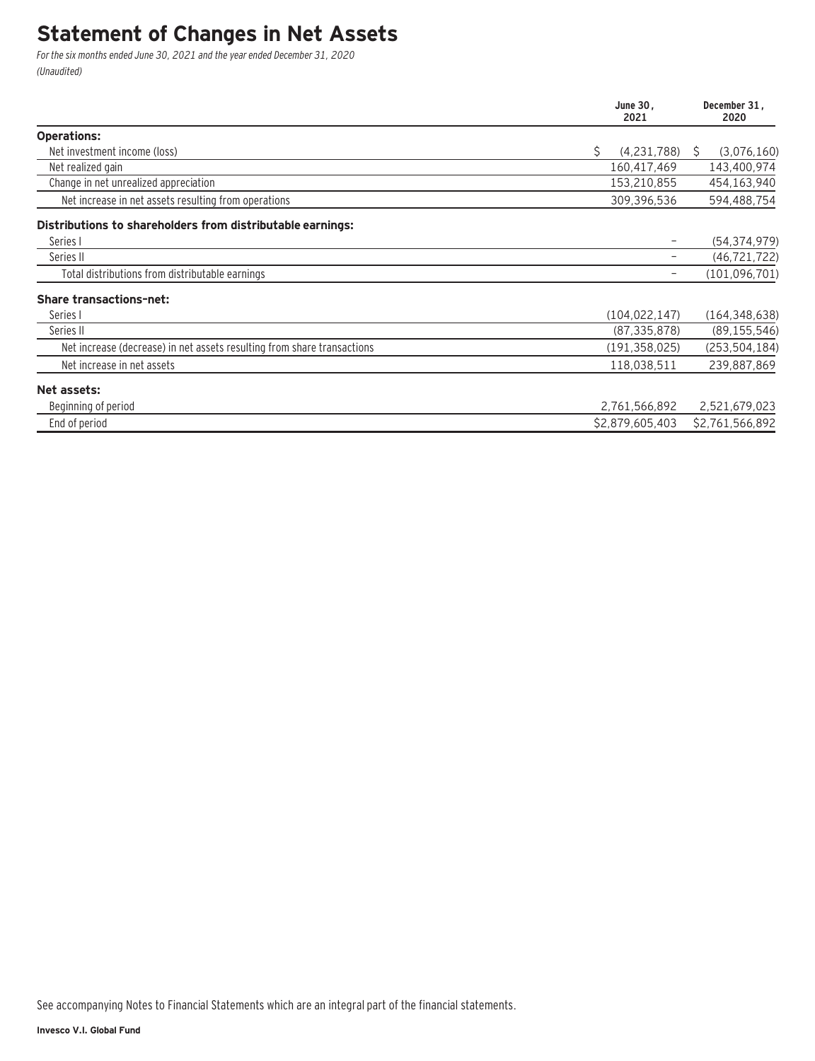## **Statement of Changes in Net Assets**

For the six months ended June 30, 2021 and the year ended December 31, 2020 (Unaudited)

|                                                                         | June 30,<br>2021  | December 31.<br>2020 |
|-------------------------------------------------------------------------|-------------------|----------------------|
| <b>Operations:</b>                                                      |                   |                      |
| Net investment income (loss)                                            | Ŝ.<br>(4,231,788) | (3,076,160)<br>S     |
| Net realized gain                                                       | 160,417,469       | 143,400,974          |
| Change in net unrealized appreciation                                   | 153,210,855       | 454,163,940          |
| Net increase in net assets resulting from operations                    | 309,396,536       | 594,488,754          |
| Distributions to shareholders from distributable earnings:              |                   |                      |
| Series I                                                                |                   | (54, 374, 979)       |
| Series II                                                               |                   | (46, 721, 722)       |
| Total distributions from distributable earnings                         |                   | (101, 096, 701)      |
| <b>Share transactions-net:</b>                                          |                   |                      |
| Series I                                                                | (104.022.147)     | (164, 348, 638)      |
| Series II                                                               | (87, 335, 878)    | (89, 155, 546)       |
| Net increase (decrease) in net assets resulting from share transactions | (191, 358, 025)   | (253, 504, 184)      |
| Net increase in net assets                                              | 118,038,511       | 239,887,869          |
| Net assets:                                                             |                   |                      |
| Beginning of period                                                     | 2,761,566,892     | 2,521,679,023        |
| End of period                                                           | \$2,879,605,403   | \$2,761,566,892      |

See accompanying Notes to Financial Statements which are an integral part of the financial statements.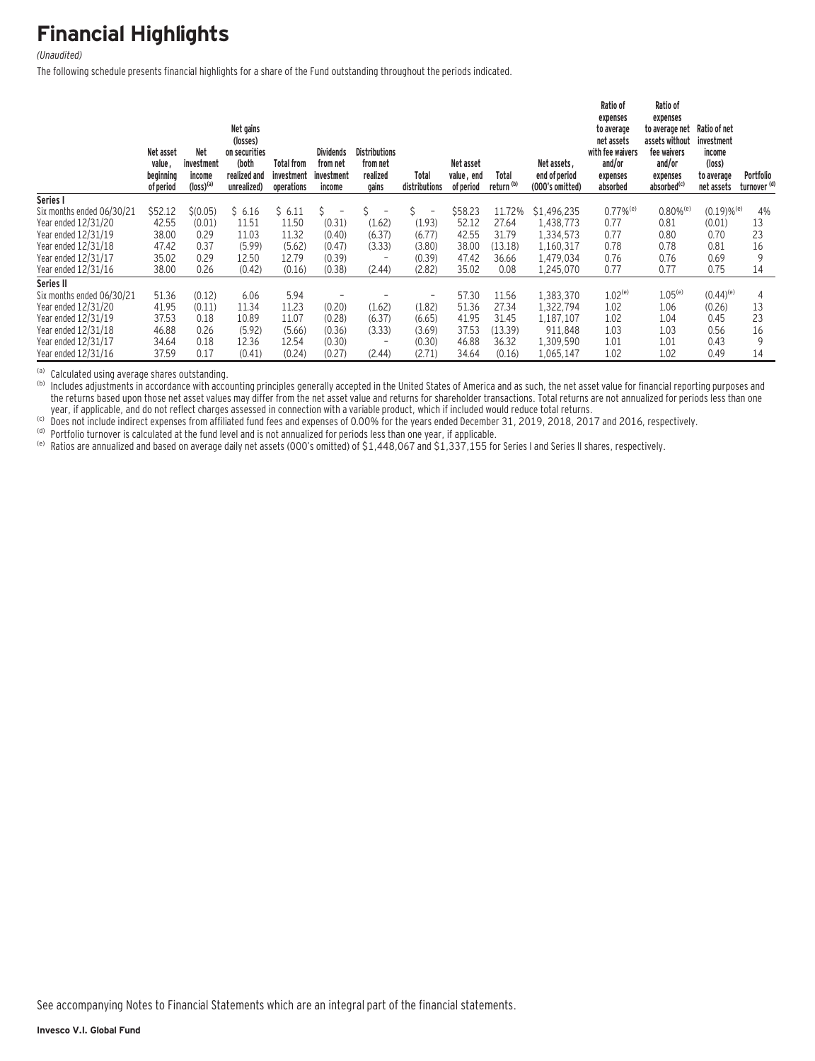# **Financial Highlights**

#### (Unaudited)

The following schedule presents financial highlights for a share of the Fund outstanding throughout the periods indicated.

|                           | Net asset<br>value,<br>beginning<br>of period | <b>Net</b><br>investment<br>income<br>$(logs)$ <sup>(a)</sup> | Net gains<br>(losses)<br>on securities<br>(both<br>realized and<br>unrealized) | <b>Total from</b><br>investment<br>operations | <b>Dividends</b><br>from net<br>investment<br>income | <b>Distributions</b><br>from net<br>realized<br>gains | Total<br>distributions        | Net asset<br>value, end<br>of period | Total<br>return <sup>(b)</sup> | Net assets.<br>end of period<br>(000's omitted) | Ratio of<br>expenses<br>to average<br>net assets<br>with fee waivers<br>and/or<br>expenses<br>absorbed | Ratio of<br>expenses<br>to average net<br>assets without<br>fee waivers<br>and/or<br>expenses<br>absorbed <sup>(c)</sup> | Ratio of net<br>investment<br>income<br>(logs)<br>to average<br>net assets | Portfolio<br>turnover <sup>(d)</sup> |
|---------------------------|-----------------------------------------------|---------------------------------------------------------------|--------------------------------------------------------------------------------|-----------------------------------------------|------------------------------------------------------|-------------------------------------------------------|-------------------------------|--------------------------------------|--------------------------------|-------------------------------------------------|--------------------------------------------------------------------------------------------------------|--------------------------------------------------------------------------------------------------------------------------|----------------------------------------------------------------------------|--------------------------------------|
| Series I                  |                                               |                                                               |                                                                                |                                               |                                                      |                                                       |                               |                                      |                                |                                                 |                                                                                                        |                                                                                                                          |                                                                            |                                      |
| Six months ended 06/30/21 | \$52.12                                       | \$(0.05)                                                      | \$6.16                                                                         | \$6.11                                        | S.<br>-                                              |                                                       | Ś<br>$\overline{\phantom{a}}$ | \$58.23                              | 11.72%                         | \$1.496.235                                     | $0.77\%$ <sup>(e)</sup>                                                                                | $0.80\%$ <sup>(e)</sup>                                                                                                  | $(0.19) \%$ <sup>(e)</sup>                                                 | 4%                                   |
| Year ended 12/31/20       | 42.55                                         | (0.01)                                                        | 11.51                                                                          | 11.50                                         | (0.31)                                               | (1.62)                                                | (1.93)                        | 52.12                                | 27.64                          | 1,438,773                                       | 0.77                                                                                                   | 0.81                                                                                                                     | (0.01)                                                                     | 13                                   |
| Year ended 12/31/19       | 38.00                                         | 0.29                                                          | 11.03                                                                          | 11.32                                         | (0.40)                                               | (6.37)                                                | (6.77)                        | 42.55                                | 31.79                          | 1,334,573                                       | 0.77                                                                                                   | 0.80                                                                                                                     | 0.70                                                                       | 23                                   |
| Year ended 12/31/18       | 47.42                                         | 0.37                                                          | (5.99)                                                                         | (5.62)                                        | (0.47)                                               | (3.33)                                                | (3.80)                        | 38.00                                | (13.18)                        | 1.160.317                                       | 0.78                                                                                                   | 0.78                                                                                                                     | 0.81                                                                       | 16                                   |
| Year ended 12/31/17       | 35.02                                         | 0.29                                                          | 12.50                                                                          | 12.79                                         | (0.39)                                               |                                                       | (0.39)                        | 47.42                                | 36.66                          | 1.479.034                                       | 0.76                                                                                                   | 0.76                                                                                                                     | 0.69                                                                       | 9                                    |
| Year ended 12/31/16       | 38.00                                         | 0.26                                                          | (0.42)                                                                         | (0.16)                                        | (0.38)                                               | (2.44)                                                | (2.82)                        | 35.02                                | 0.08                           | 1,245,070                                       | 0.77                                                                                                   | 0.77                                                                                                                     | 0.75                                                                       | 14                                   |
| Series II                 |                                               |                                                               |                                                                                |                                               |                                                      |                                                       |                               |                                      |                                |                                                 |                                                                                                        |                                                                                                                          |                                                                            |                                      |
| Six months ended 06/30/21 | 51.36                                         | (0.12)                                                        | 6.06                                                                           | 5.94                                          |                                                      |                                                       | $\qquad \qquad -$             | 57.30                                | 11.56                          | 1,383,370                                       | $1.02^{(e)}$                                                                                           | $1.05^{(e)}$                                                                                                             | $(0.44)^{(e)}$                                                             | 4                                    |
| Year ended 12/31/20       | 41.95                                         | (0.11)                                                        | 11.34                                                                          | 11.23                                         | (0.20)                                               | (1.62)                                                | (1.82)                        | 51.36                                | 27.34                          | 1,322,794                                       | 1.02                                                                                                   | 1.06                                                                                                                     | (0.26)                                                                     | 13                                   |
| Year ended 12/31/19       | 37.53                                         | 0.18                                                          | 10.89                                                                          | 11.07                                         | (0.28)                                               | (6.37)                                                | (6.65)                        | 41.95                                | 31.45                          | 1,187,107                                       | 1.02                                                                                                   | 1.04                                                                                                                     | 0.45                                                                       | 23                                   |
| Year ended 12/31/18       | 46.88                                         | 0.26                                                          | (5.92)                                                                         | (5.66)                                        | (0.36)                                               | (3.33)                                                | (3.69)                        | 37.53                                | (13.39)                        | 911,848                                         | 1.03                                                                                                   | 1.03                                                                                                                     | 0.56                                                                       | 16                                   |
| Year ended 12/31/17       | 34.64                                         | 0.18                                                          | 12.36                                                                          | 12.54                                         | (0.30)                                               | $\overline{\phantom{a}}$                              | (0.30)                        | 46.88                                | 36.32                          | 1,309,590                                       | 1.01                                                                                                   | 1.01                                                                                                                     | 0.43                                                                       | 9                                    |
| Year ended 12/31/16       | 37.59                                         | 0.17                                                          | (0.41)                                                                         | (0.24)                                        | (0.27)                                               | (2.44)                                                | (2.71)                        | 34.64                                | (0.16)                         | 1,065,147                                       | 1.02                                                                                                   | 1.02                                                                                                                     | 0.49                                                                       | 14                                   |

(a) Calculated using average shares outstanding.<br>(b) Includes adjustments in accordance with accounting principles generally accepted in the United States of America and as such, the net asset value for financial reporting the returns based upon those net asset values may differ from the net asset value and returns for shareholder transactions. Total returns are not annualized for periods less than one year, if applicable, and do not reflect

(b) Does not include indirect expenses from affiliated fund fees and expenses of 0.00% for the years ended December 31, 2019, 2018, 2017 and 2016, respectively.<br>(b) Does not include indirect expenses from affiliated fund f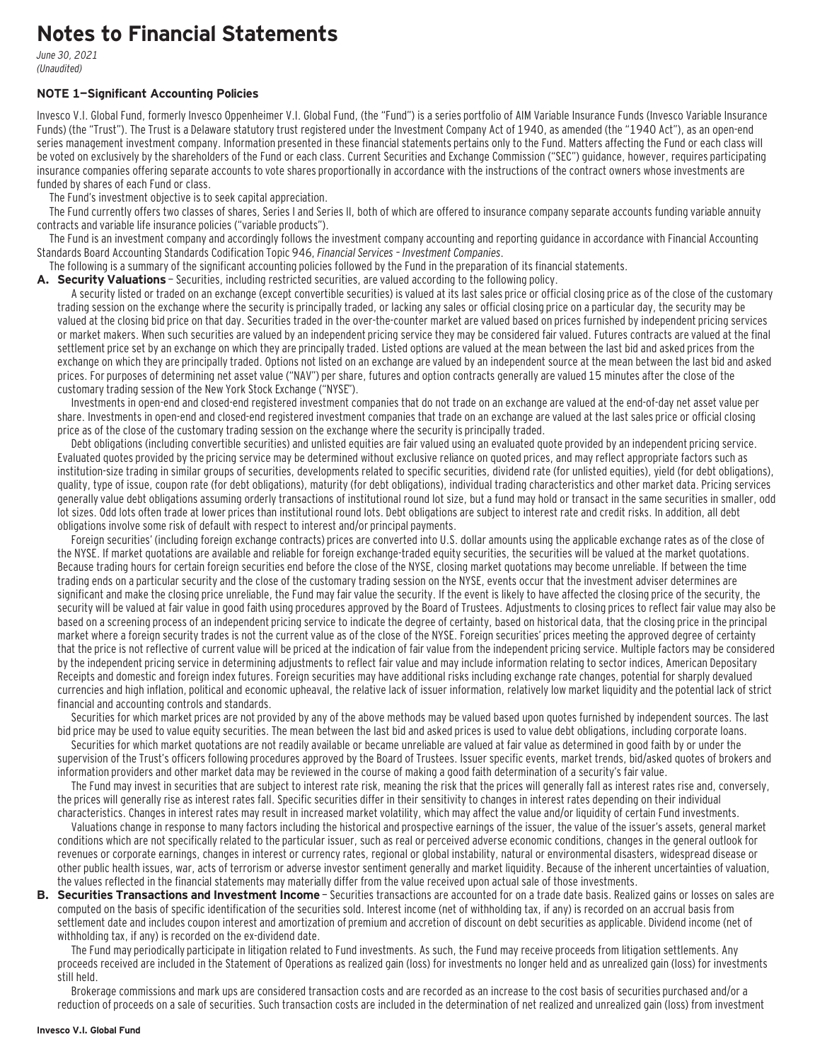## **Notes to Financial Statements**

June 30, 2021 (Unaudited)

#### **NOTE 1—Significant Accounting Policies**

Invesco V.I. Global Fund, formerly Invesco Oppenheimer V.I. Global Fund, (the "Fund") is a series portfolio of AIM Variable Insurance Funds (Invesco Variable Insurance Funds) (the "Trust"). The Trust is a Delaware statutory trust registered under the Investment Company Act of 1940, as amended (the "1940 Act"), as an open-end series management investment company. Information presented in these financial statements pertains only to the Fund. Matters affecting the Fund or each class will be voted on exclusively by the shareholders of the Fund or each class. Current Securities and Exchange Commission ("SEC") guidance, however, requires participating insurance companies offering separate accounts to vote shares proportionally in accordance with the instructions of the contract owners whose investments are funded by shares of each Fund or class.

The Fund's investment objective is to seek capital appreciation.

The Fund currently offers two classes of shares, Series I and Series II, both of which are offered to insurance company separate accounts funding variable annuity contracts and variable life insurance policies ("variable products").

The Fund is an investment company and accordingly follows the investment company accounting and reporting guidance in accordance with Financial Accounting Standards Board Accounting Standards Codification Topic 946, Financial Services – Investment Companies.

The following is a summary of the significant accounting policies followed by the Fund in the preparation of its financial statements.

**A. Security Valuations** — Securities, including restricted securities, are valued according to the following policy.

A security listed or traded on an exchange (except convertible securities) is valued at its last sales price or official closing price as of the close of the customary trading session on the exchange where the security is principally traded, or lacking any sales or official closing price on a particular day, the security may be valued at the closing bid price on that day. Securities traded in the over-the-counter market are valued based on prices furnished by independent pricing services or market makers. When such securities are valued by an independent pricing service they may be considered fair valued. Futures contracts are valued at the final settlement price set by an exchange on which they are principally traded. Listed options are valued at the mean between the last bid and asked prices from the exchange on which they are principally traded. Options not listed on an exchange are valued by an independent source at the mean between the last bid and asked prices. For purposes of determining net asset value ("NAV") per share, futures and option contracts generally are valued 15 minutes after the close of the customary trading session of the New York Stock Exchange ("NYSE").

Investments in open-end and closed-end registered investment companies that do not trade on an exchange are valued at the end-of-day net asset value per share. Investments in open-end and closed-end registered investment companies that trade on an exchange are valued at the last sales price or official closing price as of the close of the customary trading session on the exchange where the security is principally traded.

Debt obligations (including convertible securities) and unlisted equities are fair valued using an evaluated quote provided by an independent pricing service. Evaluated quotes provided by the pricing service may be determined without exclusive reliance on quoted prices, and may reflect appropriate factors such as institution-size trading in similar groups of securities, developments related to specific securities, dividend rate (for unlisted equities), yield (for debt obligations), quality, type of issue, coupon rate (for debt obligations), maturity (for debt obligations), individual trading characteristics and other market data. Pricing services generally value debt obligations assuming orderly transactions of institutional round lot size, but a fund may hold or transact in the same securities in smaller, odd lot sizes. Odd lots often trade at lower prices than institutional round lots. Debt obligations are subject to interest rate and credit risks. In addition, all debt obligations involve some risk of default with respect to interest and/or principal payments.

Foreign securities' (including foreign exchange contracts) prices are converted into U.S. dollar amounts using the applicable exchange rates as of the close of the NYSE. If market quotations are available and reliable for foreign exchange-traded equity securities, the securities will be valued at the market quotations. Because trading hours for certain foreign securities end before the close of the NYSE, closing market quotations may become unreliable. If between the time trading ends on a particular security and the close of the customary trading session on the NYSE, events occur that the investment adviser determines are significant and make the closing price unreliable, the Fund may fair value the security. If the event is likely to have affected the closing price of the security, the security will be valued at fair value in good faith using procedures approved by the Board of Trustees. Adjustments to closing prices to reflect fair value may also be based on a screening process of an independent pricing service to indicate the degree of certainty, based on historical data, that the closing price in the principal market where a foreign security trades is not the current value as of the close of the NYSE. Foreign securities' prices meeting the approved degree of certainty that the price is not reflective of current value will be priced at the indication of fair value from the independent pricing service. Multiple factors may be considered by the independent pricing service in determining adjustments to reflect fair value and may include information relating to sector indices, American Depositary Receipts and domestic and foreign index futures. Foreign securities may have additional risks including exchange rate changes, potential for sharply devalued currencies and high inflation, political and economic upheaval, the relative lack of issuer information, relatively low market liquidity and the potential lack of strict financial and accounting controls and standards.

Securities for which market prices are not provided by any of the above methods may be valued based upon quotes furnished by independent sources. The last bid price may be used to value equity securities. The mean between the last bid and asked prices is used to value debt obligations, including corporate loans.

Securities for which market quotations are not readily available or became unreliable are valued at fair value as determined in good faith by or under the supervision of the Trust's officers following procedures approved by the Board of Trustees. Issuer specific events, market trends, bid/asked quotes of brokers and information providers and other market data may be reviewed in the course of making a good faith determination of a security's fair value.

The Fund may invest in securities that are subject to interest rate risk, meaning the risk that the prices will generally fall as interest rates rise and, conversely, the prices will generally rise as interest rates fall. Specific securities differ in their sensitivity to changes in interest rates depending on their individual characteristics. Changes in interest rates may result in increased market volatility, which may affect the value and/or liquidity of certain Fund investments.

Valuations change in response to many factors including the historical and prospective earnings of the issuer, the value of the issuer's assets, general market conditions which are not specifically related to the particular issuer, such as real or perceived adverse economic conditions, changes in the general outlook for revenues or corporate earnings, changes in interest or currency rates, regional or global instability, natural or environmental disasters, widespread disease or other public health issues, war, acts of terrorism or adverse investor sentiment generally and market liquidity. Because of the inherent uncertainties of valuation, the values reflected in the financial statements may materially differ from the value received upon actual sale of those investments.

**B. Securities Transactions and Investment Income** - Securities transactions are accounted for on a trade date basis. Realized gains or losses on sales are computed on the basis of specific identification of the securities sold. Interest income (net of withholding tax, if any) is recorded on an accrual basis from settlement date and includes coupon interest and amortization of premium and accretion of discount on debt securities as applicable. Dividend income (net of withholding tax, if any) is recorded on the ex-dividend date.

The Fund may periodically participate in litigation related to Fund investments. As such, the Fund may receive proceeds from litigation settlements. Any proceeds received are included in the Statement of Operations as realized gain (loss) for investments no longer held and as unrealized gain (loss) for investments still held.

Brokerage commissions and mark ups are considered transaction costs and are recorded as an increase to the cost basis of securities purchased and/or a reduction of proceeds on a sale of securities. Such transaction costs are included in the determination of net realized and unrealized gain (loss) from investment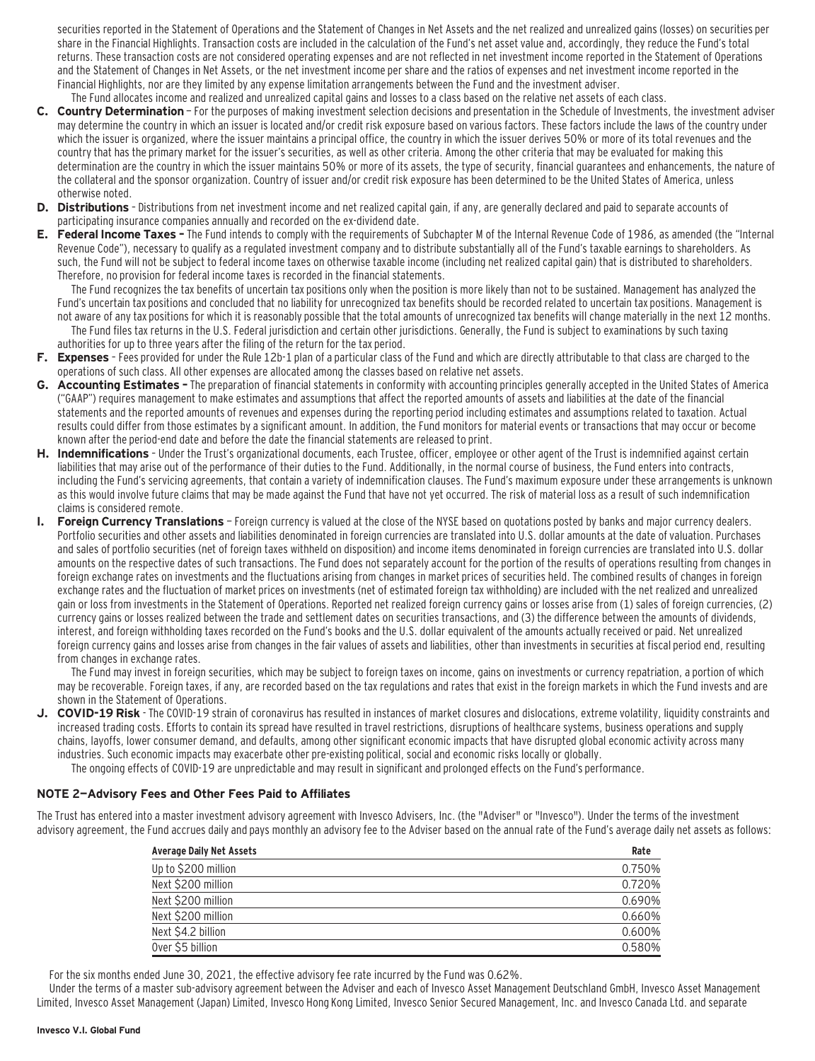securities reported in the Statement of Operations and the Statement of Changes in Net Assets and the net realized and unrealized gains (losses) on securities per share in the Financial Highlights. Transaction costs are included in the calculation of the Fund's net asset value and, accordingly, they reduce the Fund's total returns. These transaction costs are not considered operating expenses and are not reflected in net investment income reported in the Statement of Operations and the Statement of Changes in Net Assets, or the net investment income per share and the ratios of expenses and net investment income reported in the Financial Highlights, nor are they limited by any expense limitation arrangements between the Fund and the investment adviser. The Fund allocates income and realized and unrealized capital gains and losses to a class based on the relative net assets of each class.

- **C. Country Determination**  For the purposes of making investment selection decisions and presentation in the Schedule of Investments, the investment adviser may determine the country in which an issuer is located and/or credit risk exposure based on various factors. These factors include the laws of the country under which the issuer is organized, where the issuer maintains a principal office, the country in which the issuer derives 50% or more of its total revenues and the country that has the primary market for the issuer's securities, as well as other criteria. Among the other criteria that may be evaluated for making this determination are the country in which the issuer maintains 50% or more of its assets, the type of security, financial guarantees and enhancements, the nature of the collateral and the sponsor organization. Country of issuer and/or credit risk exposure has been determined to be the United States of America, unless otherwise noted.
- **D. Distributions**  Distributions from net investment income and net realized capital gain, if any, are generally declared and paid to separate accounts of participating insurance companies annually and recorded on the ex-dividend date.
- **E. Federal Income Taxes** The Fund intends to comply with the requirements of Subchapter M of the Internal Revenue Code of 1986, as amended (the "Internal Revenue Code"), necessary to qualify as a regulated investment company and to distribute substantially all of the Fund's taxable earnings to shareholders. As such, the Fund will not be subject to federal income taxes on otherwise taxable income (including net realized capital gain) that is distributed to shareholders. Therefore, no provision for federal income taxes is recorded in the financial statements.

The Fund recognizes the tax benefits of uncertain tax positions only when the position is more likely than not to be sustained. Management has analyzed the Fund's uncertain tax positions and concluded that no liability for unrecognized tax benefits should be recorded related to uncertain tax positions. Management is not aware of any tax positions for which it is reasonably possible that the total amounts of unrecognized tax benefits will change materially in the next 12 months.

- The Fund files tax returns in the U.S. Federal jurisdiction and certain other jurisdictions. Generally, the Fund is subject to examinations by such taxing authorities for up to three years after the filing of the return for the tax period.
- **F. Expenses**  Fees provided for under the Rule 12b-1 plan of a particular class of the Fund and which are directly attributable to that class are charged to the operations of such class. All other expenses are allocated among the classes based on relative net assets.
- **G. Accounting Estimates** The preparation of financial statements in conformity with accounting principles generally accepted in the United States of America ("GAAP") requires management to make estimates and assumptions that affect the reported amounts of assets and liabilities at the date of the financial statements and the reported amounts of revenues and expenses during the reporting period including estimates and assumptions related to taxation. Actual results could differ from those estimates by a significant amount. In addition, the Fund monitors for material events or transactions that may occur or become known after the period-end date and before the date the financial statements are released to print.
- **H. Indemnifications**  Under the Trust's organizational documents, each Trustee, officer, employee or other agent of the Trust is indemnified against certain liabilities that may arise out of the performance of their duties to the Fund. Additionally, in the normal course of business, the Fund enters into contracts, including the Fund's servicing agreements, that contain a variety of indemnification clauses. The Fund's maximum exposure under these arrangements is unknown as this would involve future claims that may be made against the Fund that have not yet occurred. The risk of material loss as a result of such indemnification claims is considered remote.
- **I. Foreign Currency Translations**  Foreign currency is valued at the close of the NYSE based on quotations posted by banks and major currency dealers. Portfolio securities and other assets and liabilities denominated in foreign currencies are translated into U.S. dollar amounts at the date of valuation. Purchases and sales of portfolio securities (net of foreign taxes withheld on disposition) and income items denominated in foreign currencies are translated into U.S. dollar amounts on the respective dates of such transactions. The Fund does not separately account for the portion of the results of operations resulting from changes in foreign exchange rates on investments and the fluctuations arising from changes in market prices of securities held. The combined results of changes in foreign exchange rates and the fluctuation of market prices on investments (net of estimated foreign tax withholding) are included with the net realized and unrealized gain or loss from investments in the Statement of Operations. Reported net realized foreign currency gains or losses arise from (1) sales of foreign currencies, (2) currency gains or losses realized between the trade and settlement dates on securities transactions, and (3) the difference between the amounts of dividends, interest, and foreign withholding taxes recorded on the Fund's books and the U.S. dollar equivalent of the amounts actually received or paid. Net unrealized foreign currency gains and losses arise from changes in the fair values of assets and liabilities, other than investments in securities at fiscal period end, resulting from changes in exchange rates.

The Fund may invest in foreign securities, which may be subject to foreign taxes on income, gains on investments or currency repatriation, a portion of which may be recoverable. Foreign taxes, if any, are recorded based on the tax regulations and rates that exist in the foreign markets in which the Fund invests and are shown in the Statement of Operations.

- J. COVID-19 Risk The COVID-19 strain of coronavirus has resulted in instances of market closures and dislocations, extreme volatility, liquidity constraints and increased trading costs. Efforts to contain its spread have resulted in travel restrictions, disruptions of healthcare systems, business operations and supply chains, layoffs, lower consumer demand, and defaults, among other significant economic impacts that have disrupted global economic activity across many industries. Such economic impacts may exacerbate other pre-existing political, social and economic risks locally or globally.
	- The ongoing effects of COVID-19 are unpredictable and may result in significant and prolonged effects on the Fund's performance.

#### **NOTE 2—Advisory Fees and Other Fees Paid to Affiliates**

The Trust has entered into a master investment advisory agreement with Invesco Advisers, Inc. (the "Adviser" or "Invesco"). Under the terms of the investment advisory agreement, the Fund accrues daily and pays monthly an advisory fee to the Adviser based on the annual rate of the Fund's average daily net assets as follows:

| <b>Average Daily Net Assets</b> | Rate   |
|---------------------------------|--------|
| Up to \$200 million             | 0.750% |
| Next \$200 million              | 0.720% |
| Next \$200 million              | 0.690% |
| Next \$200 million              | 0.660% |
| Next \$4.2 billion              | 0.600% |
| Over \$5 billion                | 0.580% |

For the six months ended June 30, 2021, the effective advisory fee rate incurred by the Fund was 0.62%.

Under the terms of a master sub-advisory agreement between the Adviser and each of Invesco Asset Management Deutschland GmbH, Invesco Asset Management Limited, Invesco Asset Management (Japan) Limited, Invesco Hong Kong Limited, Invesco Senior Secured Management, Inc. and Invesco Canada Ltd. and separate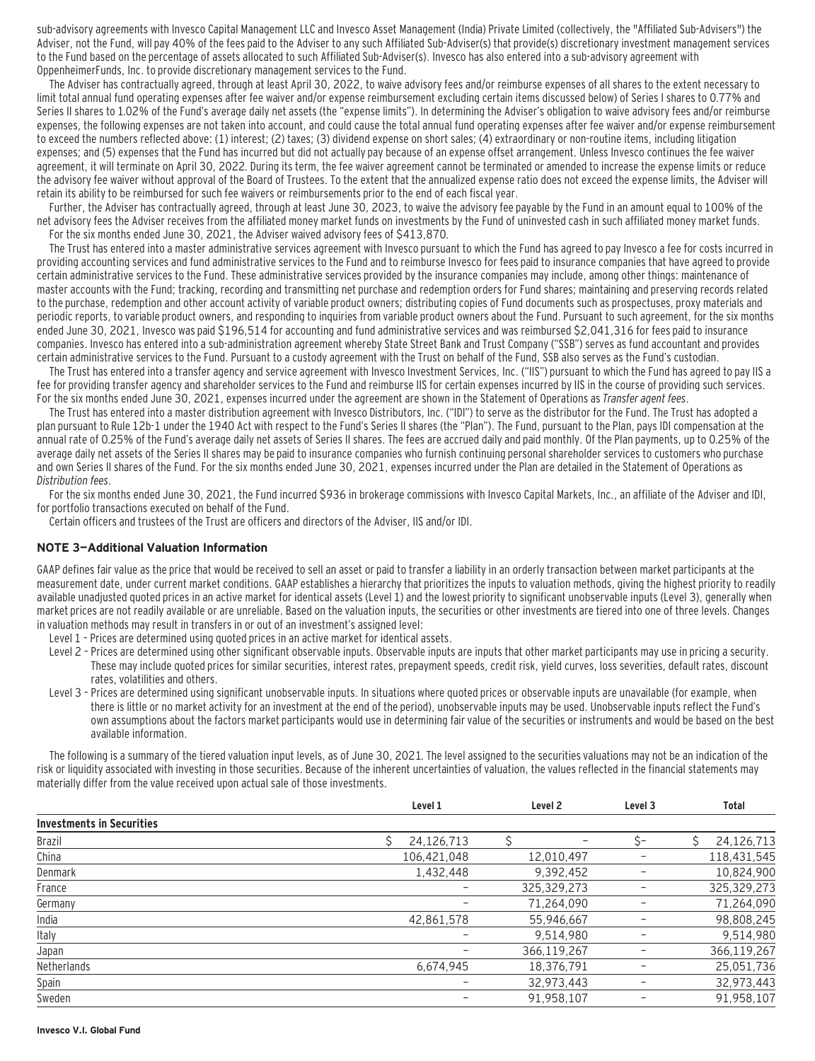sub-advisory agreements with Invesco Capital Management LLC and Invesco Asset Management (India) Private Limited (collectively, the "Affiliated Sub-Advisers") the Adviser, not the Fund, will pay 40% of the fees paid to the Adviser to any such Affiliated Sub-Adviser(s) that provide(s) discretionary investment management services to the Fund based on the percentage of assets allocated to such Affiliated Sub-Adviser(s). Invesco has also entered into a sub-advisory agreement with OppenheimerFunds, Inc. to provide discretionary management services to the Fund.

The Adviser has contractually agreed, through at least April 30, 2022, to waive advisory fees and/or reimburse expenses of all shares to the extent necessary to limit total annual fund operating expenses after fee waiver and/or expense reimbursement excluding certain items discussed below) of Series I shares to 0.77% and Series II shares to 1.02% of the Fund's average daily net assets (the "expense limits"). In determining the Adviser's obligation to waive advisory fees and/or reimburse expenses, the following expenses are not taken into account, and could cause the total annual fund operating expenses after fee waiver and/or expense reimbursement to exceed the numbers reflected above: (1) interest; (2) taxes; (3) dividend expense on short sales; (4) extraordinary or non-routine items, including litigation expenses; and (5) expenses that the Fund has incurred but did not actually pay because of an expense offset arrangement. Unless Invesco continues the fee waiver agreement, it will terminate on April 30, 2022. During its term, the fee waiver agreement cannot be terminated or amended to increase the expense limits or reduce the advisory fee waiver without approval of the Board of Trustees. To the extent that the annualized expense ratio does not exceed the expense limits, the Adviser will retain its ability to be reimbursed for such fee waivers or reimbursements prior to the end of each fiscal year.

Further, the Adviser has contractually agreed, through at least June 30, 2023, to waive the advisory fee payable by the Fund in an amount equal to 100% of the net advisory fees the Adviser receives from the affiliated money market funds on investments by the Fund of uninvested cash in such affiliated money market funds. For the six months ended June 30, 2021, the Adviser waived advisory fees of \$413,870.

The Trust has entered into a master administrative services agreement with Invesco pursuant to which the Fund has agreed to pay Invesco a fee for costs incurred in providing accounting services and fund administrative services to the Fund and to reimburse Invesco for fees paid to insurance companies that have agreed to provide certain administrative services to the Fund. These administrative services provided by the insurance companies may include, among other things: maintenance of master accounts with the Fund; tracking, recording and transmitting net purchase and redemption orders for Fund shares; maintaining and preserving records related to the purchase, redemption and other account activity of variable product owners; distributing copies of Fund documents such as prospectuses, proxy materials and periodic reports, to variable product owners, and responding to inquiries from variable product owners about the Fund. Pursuant to such agreement, for the six months ended June 30, 2021, Invesco was paid \$196,514 for accounting and fund administrative services and was reimbursed \$2,041,316 for fees paid to insurance companies. Invesco has entered into a sub-administration agreement whereby State Street Bank and Trust Company ("SSB") serves as fund accountant and provides certain administrative services to the Fund. Pursuant to a custody agreement with the Trust on behalf of the Fund, SSB also serves as the Fund's custodian.

The Trust has entered into a transfer agency and service agreement with Invesco Investment Services, Inc. ("IIS") pursuant to which the Fund has agreed to pay IIS a fee for providing transfer agency and shareholder services to the Fund and reimburse IIS for certain expenses incurred by IIS in the course of providing such services. For the six months ended June 30, 2021, expenses incurred under the agreement are shown in the Statement of Operations as Transfer agent fees.

The Trust has entered into a master distribution agreement with Invesco Distributors, Inc. ("IDI") to serve as the distributor for the Fund. The Trust has adopted a plan pursuant to Rule 12b-1 under the 1940 Act with respect to the Fund's Series II shares (the "Plan"). The Fund, pursuant to the Plan, pays IDI compensation at the annual rate of 0.25% of the Fund's average daily net assets of Series II shares. The fees are accrued daily and paid monthly. Of the Plan payments, up to 0.25% of the average daily net assets of the Series II shares may be paid to insurance companies who furnish continuing personal shareholder services to customers who purchase and own Series II shares of the Fund. For the six months ended June 30, 2021, expenses incurred under the Plan are detailed in the Statement of Operations as Distribution fees.

For the six months ended June 30, 2021, the Fund incurred \$936 in brokerage commissions with Invesco Capital Markets, Inc., an affiliate of the Adviser and IDI, for portfolio transactions executed on behalf of the Fund.

Certain officers and trustees of the Trust are officers and directors of the Adviser, IIS and/or IDI.

#### **NOTE 3—Additional Valuation Information**

GAAP defines fair value as the price that would be received to sell an asset or paid to transfer a liability in an orderly transaction between market participants at the measurement date, under current market conditions. GAAP establishes a hierarchy that prioritizes the inputs to valuation methods, giving the highest priority to readily available unadjusted quoted prices in an active market for identical assets (Level 1) and the lowest priority to significant unobservable inputs (Level 3), generally when market prices are not readily available or are unreliable. Based on the valuation inputs, the securities or other investments are tiered into one of three levels. Changes in valuation methods may result in transfers in or out of an investment's assigned level:

- Level 1 Prices are determined using quoted prices in an active market for identical assets.
- Level 2 Prices are determined using other significant observable inputs. Observable inputs that other market participants may use in pricing a security. These may include quoted prices for similar securities, interest rates, prepayment speeds, credit risk, yield curves, loss severities, default rates, discount rates, volatilities and others.
- Level 3 Prices are determined using significant unobservable inputs. In situations where quoted prices or observable inputs are unavailable (for example, when there is little or no market activity for an investment at the end of the period), unobservable inputs may be used. Unobservable inputs reflect the Fund's own assumptions about the factors market participants would use in determining fair value of the securities or instruments and would be based on the best available information.

The following is a summary of the tiered valuation input levels, as of June 30, 2021. The level assigned to the securities valuations may not be an indication of the risk or liquidity associated with investing in those securities. Because of the inherent uncertainties of valuation, the values reflected in the financial statements may materially differ from the value received upon actual sale of those investments.

|             |             | Level 3            | <b>Total</b>  |  |
|-------------|-------------|--------------------|---------------|--|
|             |             |                    |               |  |
| 24,126,713  |             | S-                 | 24,126,713    |  |
| 106,421,048 | 12,010,497  |                    | 118,431,545   |  |
| 1,432,448   | 9,392,452   |                    | 10,824,900    |  |
|             | 325,329,273 |                    | 325, 329, 273 |  |
|             | 71,264,090  |                    | 71,264,090    |  |
| 42,861,578  | 55,946,667  |                    | 98,808,245    |  |
|             | 9,514,980   |                    | 9,514,980     |  |
|             | 366,119,267 |                    | 366,119,267   |  |
| 6,674,945   | 18,376,791  |                    | 25,051,736    |  |
|             | 32,973,443  |                    | 32,973,443    |  |
|             | 91,958,107  |                    | 91,958,107    |  |
|             | Level 1     | Level <sub>2</sub> |               |  |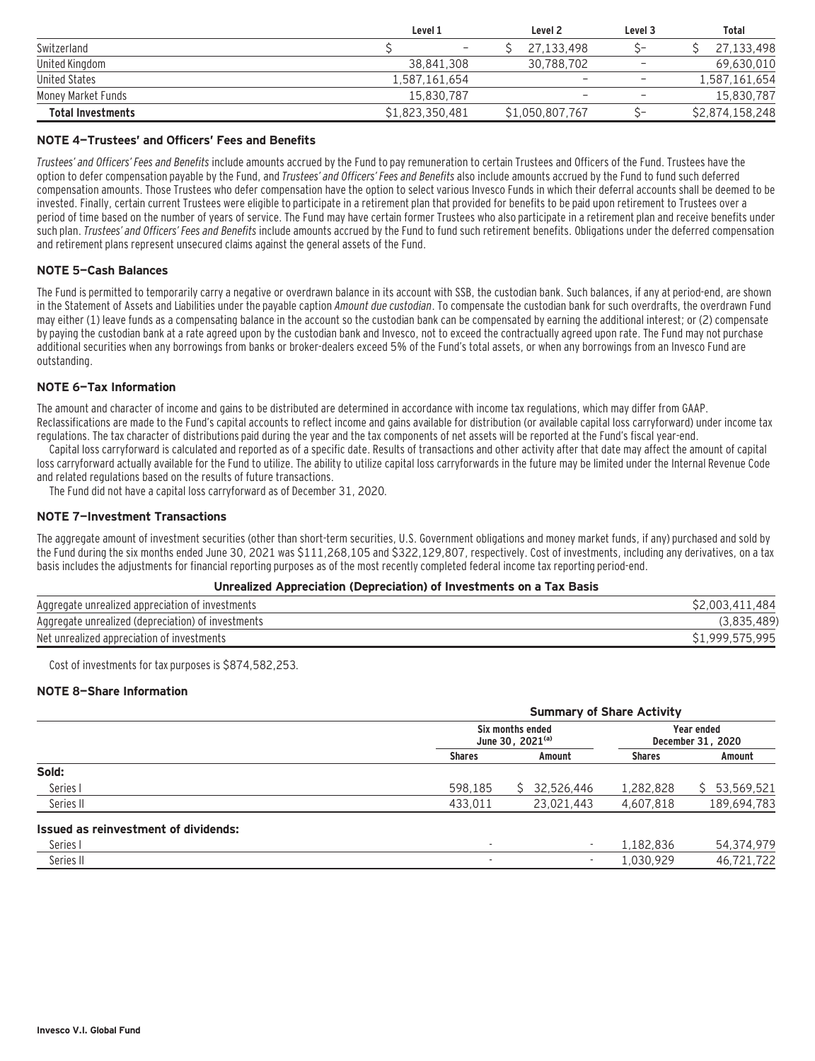|                          | Level 1                  | Level <sub>2</sub>       | Level 3                  | Total           |  |
|--------------------------|--------------------------|--------------------------|--------------------------|-----------------|--|
| Switzerland              | $\overline{\phantom{a}}$ | 27.133.498               |                          | 27,133,498      |  |
| United Kingdom           | 38.841.308               | 30.788.702               | $\overline{\phantom{0}}$ | 69,630,010      |  |
| United States            | 1,587,161,654            | -                        | -                        | 1,587,161,654   |  |
| Money Market Funds       | 15.830.787               | $\overline{\phantom{a}}$ | $\overline{\phantom{0}}$ | 15,830,787      |  |
| <b>Total Investments</b> | \$1,823,350,481          | \$1,050,807,767          |                          | \$2,874,158,248 |  |

#### **NOTE 4—Trustees' and Officers' Fees and Benefits**

Trustees' and Officers' Fees and Benefits include amounts accrued by the Fund to pay remuneration to certain Trustees and Officers of the Fund. Trustees have the option to defer compensation payable by the Fund, and Trustees' and Officers' Fees and Benefits also include amounts accrued by the Fund to fund such deferred compensation amounts. Those Trustees who defer compensation have the option to select various Invesco Funds in which their deferral accounts shall be deemed to be invested. Finally, certain current Trustees were eligible to participate in a retirement plan that provided for benefits to be paid upon retirement to Trustees over a period of time based on the number of years of service. The Fund may have certain former Trustees who also participate in a retirement plan and receive benefits under such plan. Trustees' and Officers' Fees and Benefits include amounts accrued by the Fund to fund such retirement benefits. Obligations under the deferred compensation and retirement plans represent unsecured claims against the general assets of the Fund.

#### **NOTE 5—Cash Balances**

The Fund is permitted to temporarily carry a negative or overdrawn balance in its account with SSB, the custodian bank. Such balances, if any at period-end, are shown in the Statement of Assets and Liabilities under the payable caption Amount due custodian. To compensate the custodian bank for such overdrafts, the overdrawn Fund may either (1) leave funds as a compensating balance in the account so the custodian bank can be compensated by earning the additional interest; or (2) compensate by paying the custodian bank at a rate agreed upon by the custodian bank and Invesco, not to exceed the contractually agreed upon rate. The Fund may not purchase additional securities when any borrowings from banks or broker-dealers exceed 5% of the Fund's total assets, or when any borrowings from an Invesco Fund are outstanding.

#### **NOTE 6—Tax Information**

The amount and character of income and gains to be distributed are determined in accordance with income tax regulations, which may differ from GAAP. Reclassifications are made to the Fund's capital accounts to reflect income and gains available for distribution (or available capital loss carryforward) under income tax regulations. The tax character of distributions paid during the year and the tax components of net assets will be reported at the Fund's fiscal year-end.

Capital loss carryforward is calculated and reported as of a specific date. Results of transactions and other activity after that date may affect the amount of capital loss carryforward actually available for the Fund to utilize. The ability to utilize capital loss carryforwards in the future may be limited under the Internal Revenue Code and related regulations based on the results of future transactions.

The Fund did not have a capital loss carryforward as of December 31, 2020.

#### **NOTE 7—Investment Transactions**

The aggregate amount of investment securities (other than short-term securities, U.S. Government obligations and money market funds, if any) purchased and sold by the Fund during the six months ended June 30, 2021 was \$111,268,105 and \$322,129,807, respectively. Cost of investments, including any derivatives, on a tax basis includes the adjustments for financial reporting purposes as of the most recently completed federal income tax reporting period-end.

#### **Unrealized Appreciation (Depreciation) of Investments on a Tax Basis**

| Aggregate unrealized appreciation of investments   | .484<br>003.411 |
|----------------------------------------------------|-----------------|
| Aggregate unrealized (depreciation) of investments |                 |
| Net unrealized appreciation of investments         | \$1.999.575.995 |

Cost of investments for tax purposes is \$874,582,253.

#### **NOTE 8—Share Information**

|                                      | <b>Summary of Share Activity</b>          |  |              |                                 |                  |  |
|--------------------------------------|-------------------------------------------|--|--------------|---------------------------------|------------------|--|
|                                      | Six months ended<br>June 30, $2021^{(a)}$ |  |              | Year ended<br>December 31, 2020 |                  |  |
|                                      | <b>Shares</b>                             |  | Amount       | <b>Shares</b>                   | Amount           |  |
| Sold:                                |                                           |  |              |                                 |                  |  |
| Series I                             | 598,185                                   |  | \$32,526,446 | 1,282,828                       | 53,569,521<br>S. |  |
| Series II                            | 433,011                                   |  | 23.021.443   | 4,607,818                       | 189,694,783      |  |
| Issued as reinvestment of dividends: |                                           |  |              |                                 |                  |  |
| Series I                             | ٠                                         |  | ٠            | 1,182,836                       | 54,374,979       |  |
| Series II                            | ٠                                         |  | ۰            | 1,030,929                       | 46,721,722       |  |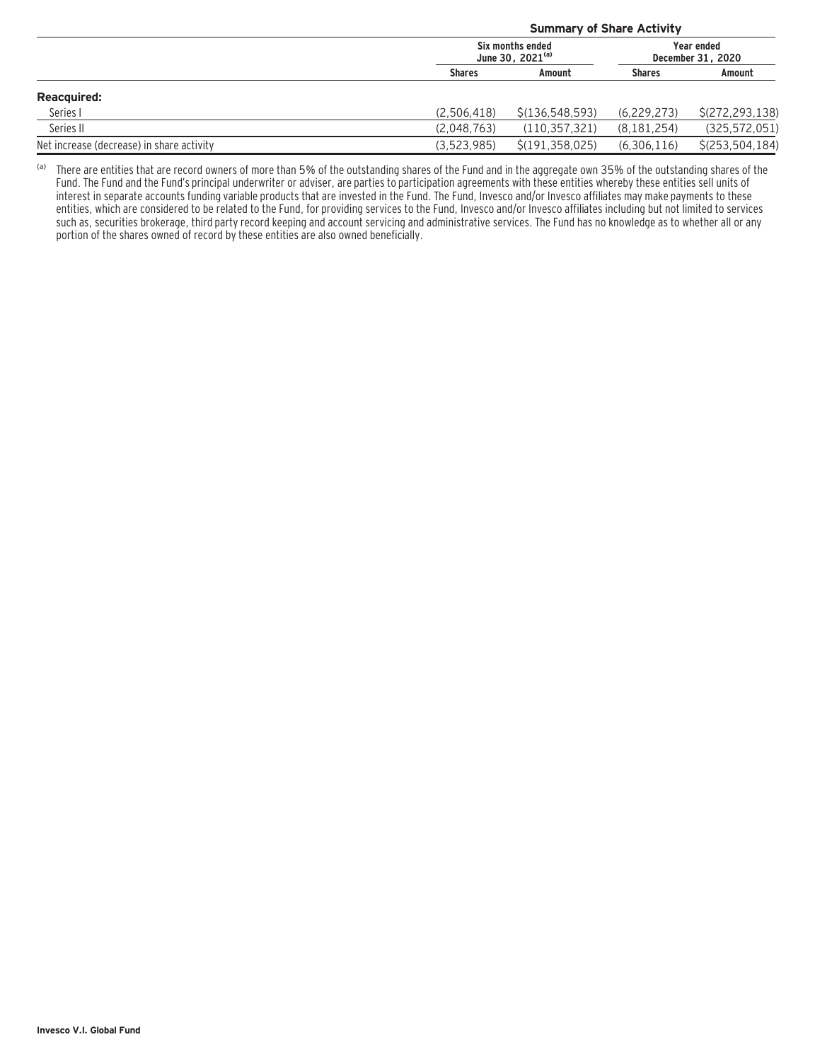|                                           | <b>Summary of Share Activity</b>          |                   |                                 |                   |  |
|-------------------------------------------|-------------------------------------------|-------------------|---------------------------------|-------------------|--|
|                                           | Six months ended<br>June 30, $2021^{(a)}$ |                   | Year ended<br>December 31, 2020 |                   |  |
|                                           | <b>Shares</b>                             | Amount            | <b>Shares</b>                   | Amount            |  |
| <b>Reacquired:</b>                        |                                           |                   |                                 |                   |  |
| Series I                                  | (2.506.418)                               | \$(136, 548, 593) | (6.229.273)                     | \$(272, 293, 138) |  |
| Series II                                 | (2.048.763)                               | (110, 357, 321)   | (8, 181, 254)                   | (325, 572, 051)   |  |
| Net increase (decrease) in share activity | (3.523.985)                               | \$(191, 358, 025) | (6,306,116)                     | \$(253, 504, 184) |  |

(a) There are entities that are record owners of more than 5% of the outstanding shares of the Fund and in the aggregate own 35% of the outstanding shares of the Fund. The Fund and the Fund's principal underwriter or adviser, are parties to participation agreements with these entities whereby these entities sell units of interest in separate accounts funding variable products that are invested in the Fund. The Fund, Invesco and/or Invesco affiliates may make payments to these entities, which are considered to be related to the Fund, for providing services to the Fund, Invesco and/or Invesco affiliates including but not limited to services such as, securities brokerage, third party record keeping and account servicing and administrative services. The Fund has no knowledge as to whether all or any portion of the shares owned of record by these entities are also owned beneficially.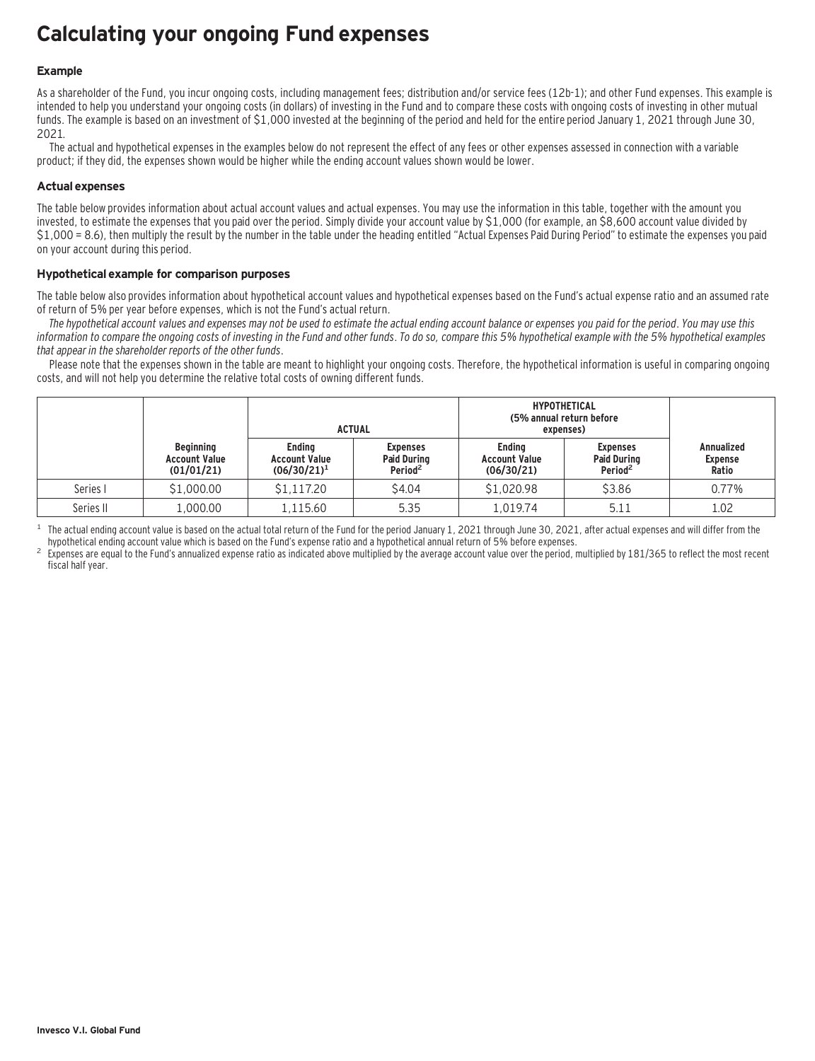## **Calculating your ongoing Fund expenses**

#### **Example**

As a shareholder of the Fund, you incur ongoing costs, including management fees; distribution and/or service fees (12b-1); and other Fund expenses. This example is intended to help you understand your ongoing costs (in dollars) of investing in the Fund and to compare these costs with ongoing costs of investing in other mutual funds. The example is based on an investment of \$1,000 invested at the beginning of the period and held for the entire period January 1, 2021 through June 30, 2021.

The actual and hypothetical expenses in the examples below do not represent the effect of any fees or other expenses assessed in connection with a variable product; if they did, the expenses shown would be higher while the ending account values shown would be lower.

#### **Actual expenses**

The table below provides information about actual account values and actual expenses. You may use the information in this table, together with the amount you invested, to estimate the expenses that you paid over the period. Simply divide your account value by \$1,000 (for example, an \$8,600 account value divided by \$1,000 = 8.6), then multiply the result by the number in the table under the heading entitled "Actual Expenses Paid During Period" to estimate the expenses you paid on your account during this period.

#### **Hypothetical example for comparison purposes**

The table below also provides information about hypothetical account values and hypothetical expenses based on the Fund's actual expense ratio and an assumed rate of return of 5% per year before expenses, which is not the Fund's actual return.

The hypothetical account values and expenses may not be used to estimate the actual ending account balance or expenses you paid for the period. You may use this information to compare the ongoing costs of investing in the Fund and other funds. To do so, compare this 5% hypothetical example with the 5% hypothetical examples that appear in the shareholder reports of the other funds.

Please note that the expenses shown in the table are meant to highlight your ongoing costs. Therefore, the hypothetical information is useful in comparing ongoing costs, and will not help you determine the relative total costs of owning different funds.

|           |                                                        | <b>ACTUAL</b>                                           |                                                              | <b>HYPOTHETICAL</b><br>(5% annual return before<br>expenses) |                                                              |                                              |
|-----------|--------------------------------------------------------|---------------------------------------------------------|--------------------------------------------------------------|--------------------------------------------------------------|--------------------------------------------------------------|----------------------------------------------|
|           | <b>Beginning</b><br><b>Account Value</b><br>(01/01/21) | <b>Endina</b><br><b>Account Value</b><br>$(06/30/21)^1$ | <b>Expenses</b><br><b>Paid During</b><br>Period <sup>2</sup> | <b>Endina</b><br><b>Account Value</b><br>(06/30/21)          | <b>Expenses</b><br><b>Paid During</b><br>Period <sup>2</sup> | <b>Annualized</b><br><b>Expense</b><br>Ratio |
| Series I  | \$1,000.00                                             | \$1,117.20                                              | \$4.04                                                       | \$1,020.98                                                   | \$3.86                                                       | 0.77%                                        |
| Series II | 1,000.00                                               | 1.115.60                                                | 5.35                                                         | 1.019.74                                                     | 5.11                                                         | 1.02                                         |

<sup>1</sup> The actual ending account value is based on the actual total return of the Fund for the period January 1, 2021 through June 30, 2021, after actual expenses and will differ from the hund's expense ratio and a hypothetic

Expenses are equal to the Fund's annualized expense ratio as indicated above multiplied by the average account value over the period, multiplied by 181/365 to reflect the most recent fiscal half year.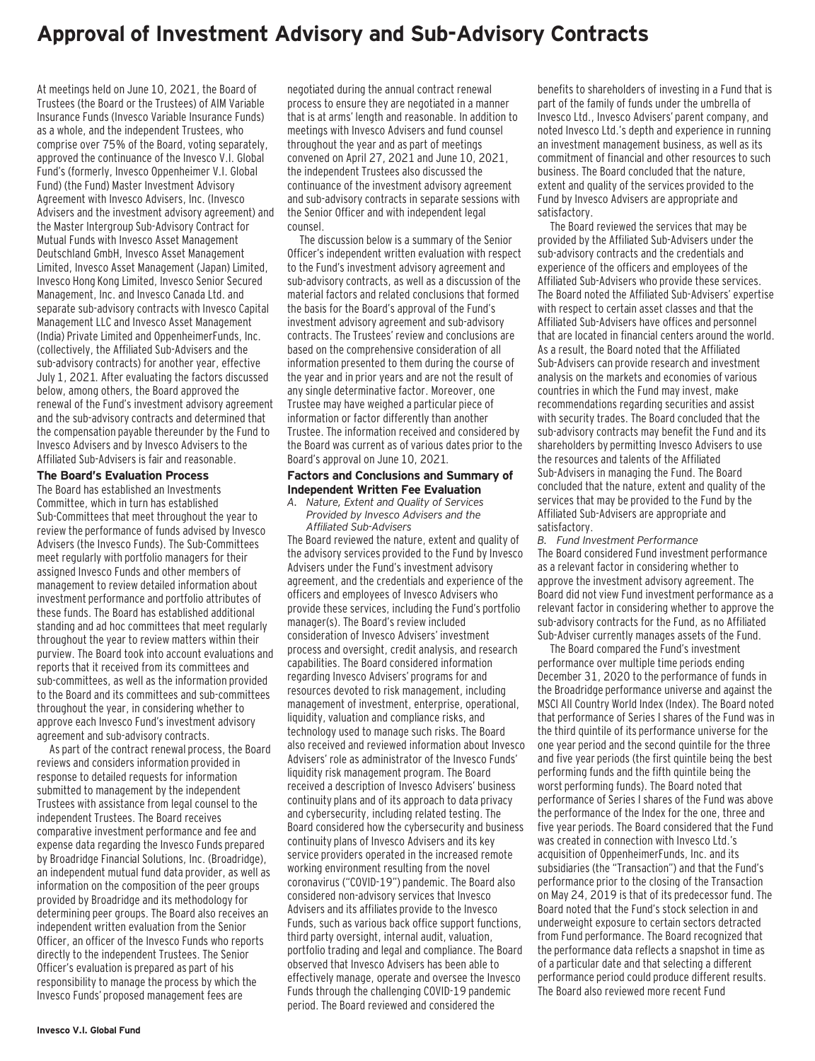### **Approval of Investment Advisory and Sub-Advisory Contracts**

At meetings held on June 10, 2021, the Board of Trustees (the Board or the Trustees) of AIM Variable Insurance Funds (Invesco Variable Insurance Funds) as a whole, and the independent Trustees, who comprise over 75% of the Board, voting separately, approved the continuance of the Invesco V.I. Global Fund's (formerly, Invesco Oppenheimer V.I. Global Fund) (the Fund) Master Investment Advisory Agreement with Invesco Advisers, Inc. (Invesco Advisers and the investment advisory agreement) and the Master Intergroup Sub-Advisory Contract for Mutual Funds with Invesco Asset Management Deutschland GmbH, Invesco Asset Management Limited, Invesco Asset Management (Japan) Limited, Invesco Hong Kong Limited, Invesco Senior Secured Management, Inc. and Invesco Canada Ltd. and separate sub-advisory contracts with Invesco Capital Management LLC and Invesco Asset Management (India) Private Limited and OppenheimerFunds, Inc. (collectively, the Affiliated Sub-Advisers and the sub-advisory contracts) for another year, effective July 1, 2021. After evaluating the factors discussed below, among others, the Board approved the renewal of the Fund's investment advisory agreement and the sub-advisory contracts and determined that the compensation payable thereunder by the Fund to Invesco Advisers and by Invesco Advisers to the Affiliated Sub-Advisers is fair and reasonable.

#### **The Board's Evaluation Process**

The Board has established an Investments Committee, which in turn has established Sub-Committees that meet throughout the year to review the performance of funds advised by Invesco Advisers (the Invesco Funds). The Sub-Committees meet regularly with portfolio managers for their assigned Invesco Funds and other members of management to review detailed information about investment performance and portfolio attributes of these funds. The Board has established additional standing and ad hoc committees that meet regularly throughout the year to review matters within their purview. The Board took into account evaluations and reports that it received from its committees and sub-committees, as well as the information provided to the Board and its committees and sub-committees throughout the year, in considering whether to approve each Invesco Fund's investment advisory agreement and sub-advisory contracts.

As part of the contract renewal process, the Board reviews and considers information provided in response to detailed requests for information submitted to management by the independent Trustees with assistance from legal counsel to the independent Trustees. The Board receives comparative investment performance and fee and expense data regarding the Invesco Funds prepared by Broadridge Financial Solutions, Inc. (Broadridge), an independent mutual fund data provider, as well as information on the composition of the peer groups provided by Broadridge and its methodology for determining peer groups. The Board also receives an independent written evaluation from the Senior Officer, an officer of the Invesco Funds who reports directly to the independent Trustees. The Senior Officer's evaluation is prepared as part of his responsibility to manage the process by which the Invesco Funds' proposed management fees are

negotiated during the annual contract renewal process to ensure they are negotiated in a manner that is at arms' length and reasonable. In addition to meetings with Invesco Advisers and fund counsel throughout the year and as part of meetings convened on April 27, 2021 and June 10, 2021, the independent Trustees also discussed the continuance of the investment advisory agreement and sub-advisory contracts in separate sessions with the Senior Officer and with independent legal counsel.

The discussion below is a summary of the Senior Officer's independent written evaluation with respect to the Fund's investment advisory agreement and sub-advisory contracts, as well as a discussion of the material factors and related conclusions that formed the basis for the Board's approval of the Fund's investment advisory agreement and sub-advisory contracts. The Trustees' review and conclusions are based on the comprehensive consideration of all information presented to them during the course of the year and in prior years and are not the result of any single determinative factor. Moreover, one Trustee may have weighed a particular piece of information or factor differently than another Trustee. The information received and considered by the Board was current as of various dates prior to the Board's approval on June 10, 2021.

#### **Factors and Conclusions and Summary of Independent Written Fee Evaluation**

*A. Nature, Extent and Quality of Services Provided by Invesco Advisers and the Affiliated Sub-Advisers*

The Board reviewed the nature, extent and quality of the advisory services provided to the Fund by Invesco Advisers under the Fund's investment advisory agreement, and the credentials and experience of the officers and employees of Invesco Advisers who provide these services, including the Fund's portfolio manager(s). The Board's review included consideration of Invesco Advisers' investment process and oversight, credit analysis, and research capabilities. The Board considered information regarding Invesco Advisers' programs for and resources devoted to risk management, including management of investment, enterprise, operational, liquidity, valuation and compliance risks, and technology used to manage such risks. The Board also received and reviewed information about Invesco Advisers' role as administrator of the Invesco Funds' liquidity risk management program. The Board received a description of Invesco Advisers' business continuity plans and of its approach to data privacy and cybersecurity, including related testing. The Board considered how the cybersecurity and business continuity plans of Invesco Advisers and its key service providers operated in the increased remote working environment resulting from the novel coronavirus ("COVID-19") pandemic. The Board also considered non-advisory services that Invesco Advisers and its affiliates provide to the Invesco Funds, such as various back office support functions, third party oversight, internal audit, valuation, portfolio trading and legal and compliance. The Board observed that Invesco Advisers has been able to effectively manage, operate and oversee the Invesco Funds through the challenging COVID-19 pandemic period. The Board reviewed and considered the

benefits to shareholders of investing in a Fund that is part of the family of funds under the umbrella of Invesco Ltd., Invesco Advisers' parent company, and noted Invesco Ltd.'s depth and experience in running an investment management business, as well as its commitment of financial and other resources to such business. The Board concluded that the nature, extent and quality of the services provided to the Fund by Invesco Advisers are appropriate and satisfactory.

The Board reviewed the services that may be provided by the Affiliated Sub-Advisers under the sub-advisory contracts and the credentials and experience of the officers and employees of the Affiliated Sub-Advisers who provide these services. The Board noted the Affiliated Sub-Advisers' expertise with respect to certain asset classes and that the Affiliated Sub-Advisers have offices and personnel that are located in financial centers around the world. As a result, the Board noted that the Affiliated Sub-Advisers can provide research and investment analysis on the markets and economies of various countries in which the Fund may invest, make recommendations regarding securities and assist with security trades. The Board concluded that the sub-advisory contracts may benefit the Fund and its shareholders by permitting Invesco Advisers to use the resources and talents of the Affiliated Sub-Advisers in managing the Fund. The Board concluded that the nature, extent and quality of the services that may be provided to the Fund by the Affiliated Sub-Advisers are appropriate and satisfactory.

*B. Fund Investment Performance* The Board considered Fund investment performance as a relevant factor in considering whether to approve the investment advisory agreement. The Board did not view Fund investment performance as a relevant factor in considering whether to approve the sub-advisory contracts for the Fund, as no Affiliated Sub-Adviser currently manages assets of the Fund.

The Board compared the Fund's investment performance over multiple time periods ending December 31, 2020 to the performance of funds in the Broadridge performance universe and against the MSCI All Country World Index (Index). The Board noted that performance of Series I shares of the Fund was in the third quintile of its performance universe for the one year period and the second quintile for the three and five year periods (the first quintile being the best performing funds and the fifth quintile being the worst performing funds). The Board noted that performance of Series I shares of the Fund was above the performance of the Index for the one, three and five year periods. The Board considered that the Fund was created in connection with Invesco Ltd.'s acquisition of OppenheimerFunds, Inc. and its subsidiaries (the "Transaction") and that the Fund's performance prior to the closing of the Transaction on May 24, 2019 is that of its predecessor fund. The Board noted that the Fund's stock selection in and underweight exposure to certain sectors detracted from Fund performance. The Board recognized that the performance data reflects a snapshot in time as of a particular date and that selecting a different performance period could produce different results. The Board also reviewed more recent Fund